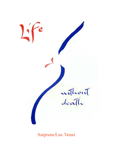

Satprem/Luc Venet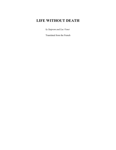# **LIFE WITHOUT DEATH**

*by Satprem and Luc Venet* 

Translated from the French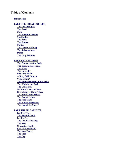# **Table of Contents**

#### **[Introduction](#page-5-0)**

**[PART ONE: SRI AUROBINDO](#page-7-0) [The Door Is Open](#page-8-1) [The Earth](#page-8-0) [Man](#page-10-0) [The Mental Principle](#page-11-0) [Spirituality](#page-12-0) [The Body](#page-13-0) [The Future](#page-14-0) [Matter](#page-15-0) [The Layers of Being](#page-16-1) [The Subconscious](#page-16-0) [Death](#page-20-1) [The Only Solution](#page-20-0) [PART TWO: MOTHER](#page-23-0) [The Plunge into the Body](#page-24-1) [The Supramental Force](#page-24-0) [The Work](#page-27-0) [The Unreality](#page-28-0) [Back and Forth](#page-29-0) [A Body Still Human](#page-31-0) ["The Divine"](#page-32-1) [The Transformation of the Body](#page-32-0) [The Walk in the Dark](#page-34-0) [The Contagion](#page-36-0) [No More Wear and Tear](#page-37-0) [Everything Is Going There](#page-38-0) [The Battle of the World](#page-39-0) [The End of Habits](#page-41-0) [The Resistance](#page-43-0) [The Forced Departure](#page-44-0) [The End of the Story?](#page-46-0) [PART THREE: SATPREM](#page-49-0) [Let Us Try . . .](#page-50-1) [The Breakthrough](#page-50-0) [Let Us Try](#page-52-0) [The Double Mooring](#page-53-0) [The New](#page-54-0) [Uprooting Death](#page-58-0) [Life Without Death](#page-60-0) [The New Power](#page-61-0) [The Spell](#page-63-0)**

**[The Cry](#page-68-0)**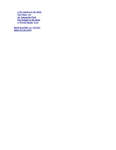**[A Revolution in the Body](#page-69-0) [The Other Air](#page-71-0) [An Automatic Path](#page-73-0) [The Delight in the Body](#page-75-0) [A World Simply True](#page-77-0)**

**[BIOGRAPHICAL NOTES](#page-83-0) [BIBLIOGRAPHY](#page-84-0)**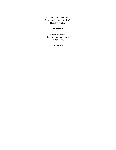Death must be overcome; there must be no more death. This is very clear.

# **MOTHER**

It isn't for cancer that we must find a cure; it's for death.

## **SATPREM**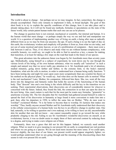#### <span id="page-5-0"></span>**Introduction**

The world is about to change – but perhaps not as we may imagine. In fact, somewhere, the change is already accomplished. There only remains to implement it fully, in broad daylight. The goal of this short book is to try to explain the specific conditions of this change, how it can take place and is already taking place. In it will not be found any methods, formulas or speculations on the state of the future world, only certain patent human truths that each one can use as he pleases.

The change in question here is not external, mechanical or scientific, but internal and human. It is the human world that must change – or perhaps simply the way we see and feel and manipulate our world. It is a question of implementing another way of living on earth, a being after man as radically different from us as we may be from our ancestor, the ape. If such a being is to see the light of day on this earth, the evolutionary wisdom and simplicity will produce it from us, from what we are today, and not out of some mystical and misty heaven, or out of a proliferation of computers – there must exist a link between it and us. Thus, if we observe and study what we are without human complacency, with scientific honesty, we could say, we ought to be able to find in ourselves a key, a means for making that transition, or at least for taking a few steps on the road that leads to the future of our species.

This great adventure into the unknown future was begun by Sri Aurobindo more than seventy years ago. Methodically, using himself as a subject of experiment, he went down one by one through the various levels of his being, of his own human substance, what we usually call "ourselves" in such a simple and natural way that we never really pay attention to it. Sri Aurobindo paid a lot of attention, studied minutely, going down farther and farther, to the extreme limit, to the body's material foundation, what sets the cells in motion, in order to understand how a human being really functions. "I have been testing day and night for years upon years more scrupulously than any scientist his theory or his method on the physical plane," he would say. And what does set the human cells in motion? What is the real mechanism? Later, Mother, his companion, followed him there. She, too, went all the way down into the dangerous and fantastic realm that holds the secrets of the functioning of the human body. That "descent" into one's own being is the whole difficulty and the key to the transition we are seeking. Their experiential observations, their discoveries are of considerable interest for whoever is concerned with the future. Indeed, they found the link, the connection in us that can open the door to the next being. Alas, man's nature is such that for the most part he wants easy formulas, "gimmicks" to ameliorate everyday life. The few disciples that Sri Aurobindo had gathered around himself in order to spread the fruit of his discoveries in humanity at large found it more convenient to make him into a god, then, after his departure in 1950, to inflict the same fate on Mother. "Why do men want to worship!" exclaimed Mother. "It is far better to become than to worship. It's laziness that makes one worship." Thus, hardly anyone around Mother and Sri Aurobindo really understood that their discovery in the cellular consciousness of a human body was the key to an effective change to another state. One had, naturally, to be willing to question one's own makeup, to be willing to leave an old, uncomfortable skin for another that one did not know – one cannot reasonably expect to go toward the new while prudently clinging to the old. Failing to use Sri Aurobindo's wonderful discoveries on oneself, as an evolutionary leaven, it was no doubt easier to empty them of their universal content by reducing them to a dogma, and trying to make a new religion out of them.

Fortunately, there was a grace that did not let this happen. Indeed, we scarcely need another religion. What we need is to give meaning to our present life on earth, to comprehend our real position and where we are going as a species. We do not need more incense but more sense. If we could open, however slightly, the true door of our future, our present world would appear singularly lighter; we would perhaps understand what we are going through and the meaning of the disconcerting chaos that seems to rule over present life on earth.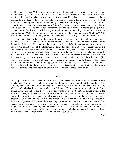Thus, by sheer luck, Mother was able to find a man who understood her, what she was trying to do. To "understand," in this case, did not just mean adhering in principle to the idea of a terrestrial transformation, not just raising it to the status of a personal ideal that one wears everywhere like a necktie, the way disciples tend to do; to understand meant to begin to feel in one's own flesh the first tremors of something new and rather frightening; it meant bringing to light certain deep-seated quirks buried in one's depths, not always pleasant or "divine"; it meant accepting, every minute of the day, to leave a solid and concrete present for a mysterious and intangible future – it meant going against all common sense. One had to be a little crazy – or truly athirst for something else. Years later, Mother said to Satprem, "When I first saw you, it was . . . you know, like something saying, 'That one.'" With Mother there was no need for many words or explanations; it was mainly facts that interested her.

At any rate, that one being understood and was ready to embark on the unknown with her is invaluable to us, left as we are with the human burden. Perhaps the secrets that Mother discovered in the depths of the cells of her body can be of use to us, in our daily life, and perhaps they can also be useful to the collective life of the planet? After Mother left her body in 1973, these secrets had to live somewhere, to be active somewhere – and not just sterilely consigned to some new Tables of the Law. One man had to open his heart and flesh to keep the little flame alive. A human body was needed to house that Fire. Let us rejoice, for the Fire is burning somewhere on this earth; nothing is lost. Whether that man is registered at City Hall under one name or another, whether he was born in France (like Mother) and dresses in Western clothes or not is rather unimportant. He is the Keeper of the Flame; that is the important point – the following pages will show it abundantly. When he can share the secrets that drive him with his fellow human beings, the face of this earth will change; it will be a brand-new earth – or perhaps simply the liberation of the old one. But that depends a little on us, too.

\* \* \*

Let us again emphasize that there can be no ready-made answers or formulas when it comes to what impels human life on earth. Each life is different and unique – and it is good that it should be so. The following texts evoke the extraordinary experience begun by Sri Aurobindo, continued and enlarged by Mother, and embodied by a human brother named Satprem. These texts do not pretend to set forth the human Truth once and for all; the vocabulary and words used could be entirely different without the experience's being in the least affected. What matters is the experience itself and its inherent power to change life on earth. Each person therefore can draw from these texts as he wishes – and maybe uncover a clue for his own life. After all, the human cell is identical in each human being. Through it, the Catholic peasant of the Andes is unknowingly in communion with the Hindu intellectual from Banaras. And since we do not always speak the same language, our cells will perhaps be able to sort things out more easily and simply than our heads. Finally, it is entirely possible that similar experiences are taking place in other points of the globe, in other climates and other languages, for, as we shall see, what matters is not so much our "belief" in this or that as our CRY.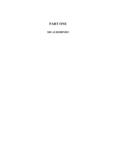# <span id="page-7-0"></span>**PART ONE**

# **SRI AUROBINDO**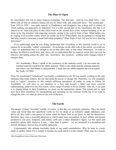#### <span id="page-8-1"></span>**The Door Is Open**

Sri Aurobindo's life was in many respects exemplary. The first part – until he was about forty – was filled with all that an ordinary human life can be filled with, and somewhat more.<sup>[1](#page-8-2)</sup> The second part  $$ from 1910 to 1950 – was spent entirely in Pondicherry and disappears into a deep well of silence of which nothing can apparently be fathomed. Yet it is this second part of Sri Aurobindo's life that is of interest to us, what took place in that silent room on the second floor of the Ashram building, as he sat alone in his big armchair with imposing armrests, gazing at the wall in front of him. What battles was he waging in an invisible reality which yet molds our lives? What depths was he probing in a being that had long ceased to incarnate a small individual periphery? What Hope of new life was his love drawing down here?

If we understand what he was doing, understand that everything in this material world is set in motion by its invisible, "subtle" counterpart – its archetype on the other side of the mirror, we could say – then we understand that it is enough to act on that other side, in that other "dimension," in order to produce an effective result here; and, above all, we understand that no material action here can ever be effective and lasting unless the other one, "elsewhere," has occurred – nothing really changes unless it changes there.

(Sri Aurobindo:) When I speak of the resistance of the material world, I do not mean the external material world but the subtle material. There is the subtle and the external material, and when I say that Matter is impenetrable, I mean that the subtle-material has not accepted the Truth. (33:508)

Thus, Sri Aurobindo's "withdrawal" was hardly a withdrawal at all. He was merely working in the only substance that really matters, the one that holds the power to change life. Therefore, we will constantly need to "adjust" ourselves to this entirely different perception of reality in order to follow Sri Aurobindo; we will have to use intuition as a first step toward a fuller and more concrete understanding, jump over our fine reason, whose range of action is all too limited. After all, if our goal is to change things in their foundation, we must use the appropriate means. The reason and its rigid laws have their usefulness for manipulating and operating on our external world, but if we want to change the laws, we must go down to the root of the laws.

## <span id="page-8-0"></span>**The Earth**

The danger of these "invisible" worlds, of course, is that they are extremely attractive. They are much vaster and richer than the superficial world we live in, made of an infinitely supple substance, and, above all, they hold a real power of action when we know how to act there. In and for themselves, therefore, they exert a powerful attraction to which many have succumbed. In their infinite and eternal perspective, our poor, temporal, and clumsy earth cuts a rather diminutive figure. Let this small and imperfect sphere drift wherever it may – what does it matter! – we are anchored in a boundless and eternal substance, forever free of earthly upheavals.

Unfortunately, this attitude inevitably leads to one small contradiction: Why be born in a body made of earthly matter if it is simply to forsake the earth and live in the clouds? There may be a reason

<span id="page-8-2"></span><sup>1</sup>See biographical notes at the end of this book.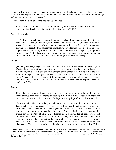for our birth in a body made of material atoms and material cells. And maybe nothing will ever be really fulfilled, happy and one – even "up above" – so long as this question has not found an integral and harmonious and material answer?

Thus, from the start, Sri Aurobindo puts us on notice:

I am concerned with the earth, not with worlds beyond for their own sake; it is a terrestrial realisation that I seek and not a flight to distant summits. (26:124)

And so does Mother:

That's always a possibility – to escape by going elsewhere. Many people have done it. They have gone elsewhere, into another, more or less subtle world. You see, there are millions of ways of escaping; there's only one way of staying, which is to have real courage and endurance, to accept all the appearance of infirmity, powerlessness, incomprehension – the appearance of, yes, a negation of the Truth. But if one does not accept that, things will never change! As for those who want to remain great, luminous, strong, powerful, and so on and so forth, well, let them – they can do nothing for the earth.  $(9/25/65)^2$  $(9/25/65)^2$  $(9/25/65)^2$ 

#### And this:

(Mother:) At times, one gets the feeling that there is an extraordinary secret to discover, and it's right here, almost at one's fingertips, and one is about to catch the Thing, to know. . . . Sometimes, for a second, one catches a glimpse of the Secret; there's an opening, and then it closes up again. Then, again, the veil is removed for a second, and one knows a little more. Yesterday the Secret was right there, completely clear, completely open. . . . And, well, I saw that secret; I saw that it is in earthly matter, on earth, that the Supreme becomes perfect. (6/5/60)

#### Reason

Hence the earth is our real focus of interest. It is a physical solution to the problem of the world that we seek. But our means of attaining it will be spiritual, directed inwardly, for they alone can touch the deeper causes of things, the true springs of the mechanism of life.

(Sri Aurobindo:) The error of the practical reason is an excessive subjection to the apparent fact which it can immediately feel as real and an insufficient courage in carrying profounder facts of potentiality to their logical conclusion. What is, is the realisation of an anterior potentiality; present potentiality is a clue to future realisation. And here potentiality exists; for the mastery of phenomena depends upon a knowledge of their causes and processes and if we know the causes of error, sorrow, pain, death, we may labour with some hope towards their elimination. For knowledge is power and mastery. In fact, we do pursue as an ideal, so far as we may, the elimination of all these negative or adverse phenomena. We seek constantly to minimise the causes of error, pain and suffering.

<span id="page-9-0"></span><sup>2</sup>Mother's quotations in this book are drawn from MOTHER'S AGENDA in 13 volumes. The reference indicates the date of Mother's particular conversation with Satprem (September 25, 1965, in the present case). Sri Aurobindo's quotations are taken mostly from the Centenary Edition. The reference indicates the volume and the page number (see list of volumes at the end of the book).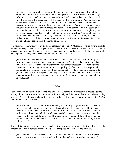Science, as its knowledge increases, dreams of regulating birth and of indefinitely prolonging life, if not of effecting the entire conquest of death. But because we envisage only external or secondary causes, we can only think of removing them to a distance and not of eliminating the actual roots of that against which we struggle. And we are thus limited because we strive towards secondary perceptions and not towards root-knowledge, because we know processes of things, but not their essence. We thus arrive at a more powerful manipulation of circumstances, but not at essential control. But if we could grasp the essential nature and the essential cause of error, suffering and death, we might hope to arrive at a mastery over them which should be not relative but entire. We might hope even to eliminate them altogether and justify the dominant instinct of our nature by the conquest of that absolute good, bliss, knowledge and immortality which our intuitions perceive as the true and ultimate condition of the human being. (18:56)

It is hardly necessary, today, to dwell on the ambiguity of science's "blessings," which always seem to embody the very opposite of their quality, like a seed of death at the core. Perhaps the real problem of science is its awesome effectiveness – if it were not so extraordinarily effective, the human race would have toppled it long ago and discovered the Reality it conceals so well.

(Sri Aurobindo:) Everybody knows that Science is not a statement of the truth of things, but only a language expressing a certain experience of objects, their structure, their mathematics, a coordinated and utilisable impression of their processes – it is nothing more. Matter itself is something (a formation of energy perhaps?) of which we know superficially the structure as it appears to our mind and senses and to certain examining instruments (about which it is now suspected that they largely determine their own results, Nature adapting its replies to the instrument used) but more than that no scientist knows and can know. (22:368)

#### <span id="page-10-0"></span>**Man**

Let us therefore embark with Sri Aurobindo and Mother, leaving all our reasonable baggage behind. A new species on earth is not something reasonable. And why not? Are we so foolish to envision a being after man? Has not Darwin shown that species evolve, that one species is born from another? Why should it be different for man?

(Sri Aurobindo:) Because man is a mental being, he naturally imagines that mind is the one great leader and actor and creator or the indispensable agent in the universe. But this is an error; even for knowledge mind is not the only or the greatest possible instrument, the one aspirant and discoverer. Mind is a clumsy interlude between Nature's vast and precise subconscient action and the vaster infallible superconscient action of the Godhead. There is nothing mind can do that cannot be better done in the mind's immobility and thought-free stillness. (17:11)

The truth is that man is nothing, or not much, but he can become – a great destiny is his if he only consents to have a fairer idea of himself and of the true place he occupies in the universe.

(Sri Aurobindo:) Man in himself is little more than an ambitious nothing. He is a littleness that reaches to a wideness and a grandeur that are beyond him, a dwarf enamoured of the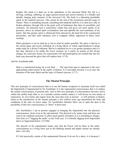heights. His mind is a dark ray in the splendours of the universal Mind. His life is a striving, exulting, suffering, an eager passion-tossed and sorrow-stricken or a blindly and dumbly longing petty moment of the universal Life. His body is a labouring perishable speck in the material universe. This cannot be the end of the mysterious upward surge of Nature. There is something beyond, something that mankind shall be; it is seen now only in broken glimpses through rifts in the great wall of limitations that deny its possibility and existence. An immortal soul is somewhere within him and gives out some sparks of its presence; above an eternal spirit overshadows him and upholds the soul-continuity of his nature. But this greater spirit is obstructed from descent by the hard lid of his constructed personality; and that inner luminous soul is wrapped, stifled, oppressed in dense outer coatings. . . .

Man's greatness is not in what he is, but in what he makes possible. His glory is that he is the closed space and secret workshop of a living labour in which supermanhood is being made ready by a divine Craftsman. But he is admitted too to a yet greater greatness and it is this that, allowed to be unlike the lower creation, he is partly an artisan of this divine change; his conscious assent, his consecrated will and participation are needed that into his body may descend the glory that will replace him. (17:8)

And Sri Aurobindo adds:

Man is a transitional being; he is not final. . . . The step from man to superman is the next approaching achievement in the earth's evolution. It is inevitable because it is at once the intention of the inner Spirit and the logic of Nature's process. (17:7)

# <span id="page-11-0"></span>**The Mental Principle**

This new principle of consciousness that is to use the human receptacle to incarnate itself was called the Supermind or Supramental by Sri Aurobindo. It is the supramental consciousness that is to replace the mental consciousness of present man. And as this new principle of consciousness becomes active within the earthly body (that is, as it actually touches earthly matter), it will devise its own means of expression, its own forms and organs from the ones that exist at present – it will perform evolution, much as the introduction of the mental principle a few million years ago determined the form and conditions of the man we know today. Sri Aurobindo's fantastic labor was to open the door to the possibility of this new consciousness, to "draw" it down here.

(Sri Aurobindo:) I am at present engaged in bringing the Supermind into the physical consciousness, down even to the sub-material. The physical is by nature inert and does not want to be rendered conscient. It offers much greater resistance as it is unwilling to change. One feels as if "digging the earth," as the Veda says. It is literally digging from Supermind above to Supermind below. (33:298)

The descent of the supramental means only that the Power will be there in the earthconsciousness as a living force just as the thinking mental and higher mental are already there. (26:146)

If I feel practically certain of the supramental Descent (I do not fix a date), it is because I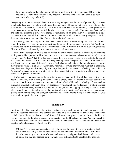have my grounds for the belief, not a faith in the air. I know that the supramental Descent is inevitable – I have faith in view of my experience that the time can be and should be now and not in a later age. (26:469)

Everything is, of course, always "there," since the beginning of time, in a state of potentiality; if it were not already there as a principle, it could never become reality. Things cannot spring from nothing – but they do have to accept to show their face. How does one make the Supermind, a new principle of consciousness, show its face on earth? To give it a name is not enough. How does one "activate" a principle still dormant, a new, supra-mental determinism on an earth entirely dominated by a selfcontained mental determinism? One is at a loss to contemplate what it means really to open a door that does not exist anywhere as a reality. This is nothing short of creation.

But clearly, the first step is for that mental determinism to cease being. In order for the new principle to take its place, the old one must stop being wholly determinant on earth. Sri Aurobindo, therefore, set out in a methodical and conscientious search, in himself at first, of everything that was "determined" or conditioned by the mental activity in our human nature.

Man's usual conception on this subject is that his entire mental activity is limited to his thinking intelligence – his capacity to think things out – and to a few automatic (hence unimportant) nervous reactions and "reflexes" that drive his heart, lungs, digestive functions, etc., and constitute the rest of his sentient and nervous self. Based on this very scanty picture, the spiritual teachings of all ages have urged us to strive for "mental silence" – to stop the higher mental activity, the thought process – so we may enter the "Kingdom of God," "Liberation," "Nirvana," or God knows what. And that is absolutely true, those teachings are absolutely right: to stop thoughts is a wonderful, refreshing bath, a kind of "liberation" indeed; to be able to stop at will the racket that goes on upstairs night and day is an immense – if partial – liberation.

Unfortunately, that does not really solve the problem. Once this first result has been achieved, we begin to perceive, with dizzying precision, a whole unruly mass of "mentally coated" activities in ourselves: emotions, sentiments, reactions to the stimuli of daily life, and even bodily reflexes, such as sensations of cold, heat, hunger, pain, joy, attraction, revulsion, fatigue, restlessness – a whole teeming world with its own laws, its own life, upon which thought (or the stopping of thoughts) has no effect whatsoever. In short, although we may like to think otherwise, mastery of the thought process does not qualify us for leaving the good, everyday humanity. To leave it, or simply to get to the bottom of it, we must obviously go further – or deeper.

## <span id="page-12-0"></span>**Spirituality**

Confronted by this major obstacle, which constantly threatened the solidity and permanence of a painfully acquired realization, the spiritualists found only one answer: to protect their realization behind high walls, to cut themselves off from a life rather too prone to arouse in man the kind of reactions contrary to the ideal pursued. In a monastery, in the Himalayas, one can "devote oneself to God" to one's heart's content, give oneself exclusively to the object of one's search without the constant nagging and embarrassment of ordinary life.

(Mother:) Of course, one understands why the saints, the sages, those who wanted to feel themselves constantly in that divine atmosphere, had removed all material things from their life – because they were not transformed, and so they kept slipping back into the other way of being, and that can become quite . . . unpleasant at times. But to transform this material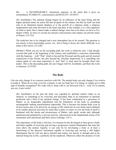life . . . is INCOMPARABLY, immensely superior, in the sense that it gives an extraordinary STABILITY, consciousness and REALITY. (9/30/67)

(Sri Aurobindo:) The spiritual change begins by an influence of the inner being and the higher spiritual mind, an action felt and accepted on the surface; but this by itself can lead only to an illumined mental idealism or to the growth of a religious mind, a religious temperament and some devotion in the heart and piety in the conduct; it is a first approach of mind to spirit, but it cannot make a radical change: more has to be done, we have to live deeper within, we have to exceed our present consciousness and surpass our present status of Nature. (19:722)

The earth-law has to be changed and a new atmosphere has to be created. The question is not merely to have knowledge, power, etc., but to bring it down, the whole difficulty is to make it flow down. (33:148)

(Mother:) When you are on the ascending path, the work is relatively easy. I had already covered that path at the beginning of the century and established a conscious relationship with the Supreme – with "That" which is beyond the Personal and the gods and all external expressions of the Divine, but also beyond the Absolute Impersonal. It is something one cannot speak of; one must experience it. And "that" is what must be brought down into matter. This is the descending path, the one I began with Sri Aurobindo, and there the work is immense. (5/19/59)

#### <span id="page-13-0"></span>**The Body**

Life can only change if we concern ourselves with life. The animal body can only change if we resolve to probe it. When do we stop, even for a minute, to ask our body how it is doing, or simply give a little sign of friendly recognition? We walk with it, sleep with it, cut firewood with it – well, it's so natural, you see; it just works!

(Sri Aurobindo:) In the past the body was regarded by spiritual seekers rather as an obstacle, as something to be overcome and discarded, than as an instrument of spiritual perfection and a field of the spiritual change. It has been condemned as a grossness of Matter, as an insuperable impediment and the limitations of the body as something unchangeable making transformation impossible. This is because the human body even at its best seems only to be driven by an energy of life which has its own limits and is debased in its smaller physical activities by much that is petty or coarse or evil, the body in itself is burdened with the inertia and inconscience of Matter, only partly awake and, although quickened and animated by a nervous activity, subconscient in the fundamental action of its constituent cells and tissues and their secret workings. (16:7)

The importance of the body is obvious; it is because he has developed or been given a body and brain capable of receiving and serving a progressive mental illumination that man has risen above the animal. Equally, it can only be by developing a body or at least a functioning of the physical instrument capable of receiving and serving a still higher illumination that he will rise above himself and realise, not merely in thought and in his internal being but in life, a perfectly divine manhood. Otherwise either the promise of Life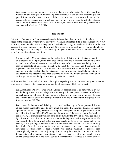is canceled, its meaning annulled and earthly being can only realise Sachchidananda [the Eternal] by abolishing itself, by shedding from it mind, life and body and returning to the pure Infinite, or else man is not the divine instrument, there is a destined limit to the consciously progressive power which distinguishes him from all other terrestrial existences and as he has replaced them in the front of things, so another must eventually replace him and assume his heritage. (18:231)

## <span id="page-14-0"></span>**The Future**

Let us therefore get out of our monasteries and privileged islands to seize total life where it is: in the street, at the office, and wherever our body lives, walks, and breathes. Life is not contradictory; it just is. It is up to us to understand and integrate it. The body, our body, is the site of the battle of the next species. It is the evolutionary crucible in which God wants to work out Man. Sri Aurobindo tells us – proves through his own example – that we can participate in and even hasten the movement. We are invited to participate in our own future.

(Sri Aurobindo:) Man as he is cannot be the last term of that evolution: he is too imperfect an expression of the Spirit, mind itself a too limited form and instrumentation, mind is only a middle term of consciousness, the mental being can only be a transitional being. If, then, man is incapable of exceeding mentality, he must be surpassed and Supermind and superman must manifest and take the lead of the creation. But if his mind is capable of opening to what exceeds it, then there is no more reason why man himself should not arrive at Supermind and supermanhood or at least lend his mentality, life and body to an evolution of that greater term of the Spirit manifesting in Nature. (19:846)

Will we decline the invitation? It would be a pity, especially for us, for everything moves on and progresses constantly in this universe; what stands still must die and fall back to dust.

(Sri Aurobindo:) Otherwise what will be ultimately accomplished is an achievement by the few initiating a new order of beings, while humanity will have passed sentence of unfitness on itself and may fall back into an evolutionary decline or a stationary immobility; for it is the constant upward effort that has kept humanity alive and maintained for it its place in the front of creation. (19:724)

But because the burden which is being laid on mankind is too great for the present littleness of the human personality and its petty mind and small life-instincts, because it cannot operate the needed change, because it is using this new apparatus and organisation to serve the old infraspiritual life-self of humanity, the destiny of the race seems to be heading dangerously, as if impatiently and in spite of itself, under the drive of the vital ego seized by colossal forces which are on the same scale as the huge mechanical organisation of life and scientific knowledge which it has evolved, a scale too large for its reason and will to handle, into a prolonged confusion and perilous crisis and darkness of violent shifting incertitude. Even if it turns out to be a passing phase or appearance and a tolerable structural accommodation is found which will enable mankind to proceed less catastrophically on its uncertain journey, this can only be a respite. For the problem is fundamental and in putting it evolutionary Nature in man is confronting herself with a critical choice which must one day be solved in the true sense if the race is to arrive or even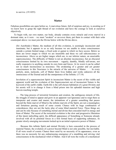to survive. (19:1055)

#### <span id="page-15-0"></span>**Matter**

Fabulous possibilities are open before us. A marvelous future, full of surprises and joy, is awaiting us if we know how to grasp the right thread of our evolution and have the courage to look at ourselves objectively.

To begin with, our own matter, our body, already contains every miracle and every marvel in a dormant state, as it were – we must "awaken" or un-cover them, put them in contact with their solar counterpart above: we must join the Divine below with the Divine above.

(Sri Aurobindo:) Matter, the medium of all this evolution, is seemingly inconscient and inanimate; but it appears to us so only because we are unable to sense consciousness outside a certain limited range, a fixed scale or gamut to which we have access. Below us there are lower ranges to which we are insensible and these we call subconscience or inconscience. Above us are higher ranges which are, to our inferior nature, an unseizable superconscience. The difficulty of Matter is not an absolute inconscience, but an obscured consciousness limited by its own movement – vaguely, dumbly, blindly self-aware, not really responsive to anything outside its own form and forces. At its worst it can be called not so much inconscience as nescience. The awakening of a greater and yet greater consciousness in this Nescience is the miracle of the universe of Matter. . . . In every particle, atom, molecule, cell of Matter there lives hidden and works unknown all the omniscience of the Eternal and all the omnipotence of the Infinite. (17:14)

Involution of a superconscient Spirit in inconscient Matter is the secret of this visible and apparent world and the evolution of this Superconscient out of inconscient Nature is the keyword of the earth's riddle. Earth-life is the self-chosen habitation of a great Divinity and his aeonic will is to change it from a blind prison into his splendid mansion and high heaven-reaching temple.

. . . The long process of terrestrial formation and creation, the ambiguous miracle of life, the struggle of mind to appear and grow in an apparent vast Ignorance and to reign there as interpreter and creator and master, the intimations of a greater something that passes beyond the finite marvel of Mind to the infinite marvels of the Spirit, are not a meaningless and fortuitous passing result of some cosmic Chance with its huge combination of coincidences; they are not the lucky play of some blind material Force. These things are and can be only because of something eternal and divine that concealed itself in energy and form of Matter. The secret of the terrestrial evolution is the slow and progressive liberation of this latent indwelling spirit, the difficult appearance of Something or Someone already involved with all its potential forces in a first formal basis of supporting substance, its greater slowly emerging movements locked up in an initial expressive power of Matter.

. . . Because this infinite Spirit and eternal Divinity is here concealed in the process of material Nature, the evolution of a power beyond Mind is not only possible, but inevitable. If all were result of cosmic Chance there need by no necessity of its appearance, even as there was no necessity for any embarrassing emergence of a stumbling and striving vital consciousness in the mechanical whirl of Matter. And if all were the works of a mechanical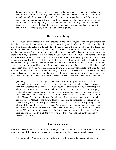Force, then too mind need not have unexpectedly appeared as a superior mechanism labouring to deal with Nature's grosser first machine and supermind would be still more a superfluity and a luminous insolence. Or, if a limited experimenting external Creator were the inventor of this universe, there would be no reason why he should not stop short at mind, content with the ingenuity of his labour. But since the Divinity is involved here and is emerging, it is inevitable that all his powers or degrees of power should emerge one after the other till the whole glory is embodied and visible. (17:17-20)

#### <span id="page-16-1"></span>**The Layers of Being**

Hence, the work of the pioneer is to start "digging" in the various layers of his being in order to put them in contact one by one with Peace, Light, Joy – the pure air of the surface. First, he "digs" in everything that is intellectual mental activity in himself; then, in the emotional layers, the desires and emotional reactions of all kinds (what Mother and Sri Aurobindo called the vital); then, in an unbelievable throng of tiny corporeal reactions, which are so "natural" and automatic that we never pay attention to them, despite the fact that they are the very stuff of our daily physical existence: "I must go down the stairs slowly or I may fall." "See this crease in the carpet there right in front of me? Just perfect to trip and break a leg!" "If I climb the hill too fast, I'll be out of breath; if I make too many appointments, I'll get tired; if I stay more than an hour in the sun, I'll resemble a lobster." And on and on, ad nauseam. Almost nothing in our life is spontaneous; everything is as if perceived in advance and "authorized" or not by a fear-ridden and droning dwarf, hidden somewhere inside our being. Its action is so polished, so "natural," that we end up making no distinction between it and us. Whether we like it or not, it becomes our mouthpiece and the trusted guide for every action in our life. Even catching it in the act is not enough to challenge its authority. This dwarf is what Mother called "the physical mind."

(Mother:) All these last few days, I have been confronting a problem as old as the world and which has become extremely acute. It was, in the most material physical consciousness, what Sri Aurobindo calls "disbelief" – it isn't doubt (doubt belongs mostly to the mind). It's almost the refusal to accept what is obvious the moment it isn't part of the little everyday routine of ordinary sensations and reactions: a sort of incapacity to accept and acknowledge the exceptional. This disbelief is the basis of our consciousness. And it comes with . . . (we call it "thought," but that's a big word for quite an ordinary thing) a physical-mental activity that produces a "thought" and always foresees, imagines or concludes (depending on the case) in a way that I personally call defeatist. That is to say, it automatically brings in the idea of all the bad things that can happen. And this in the most commonplace domain, the most ordinary, narrow and banal life, such as eating, moving, etc. Really the most vulgar things. Where thought is concerned, it is fairly easy to resolve and control, but those reactions which come from all the way down . . . It's so tiny one can hardly express it to oneself. (12/13/60)

#### <span id="page-16-0"></span>**The Subconscious**

Then the pioneer enters a dark zone, full of dangers and risks and as vast as an ocean, a bottomless swamp, the real difficulty of the physical transformation to another species: the subconscious.

(Sri Aurobindo:) You have to go on working and working year after year, point after point,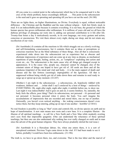till you come to a central point in the subconscient which has to be conquered and it is the crux of the whole problem, hence exceedingly difficult. . . . This point in the subconscient is the seed and it goes on sprouting and sprouting till you have cut out the seed. (36:180)

There are no lights there, no higher illuminations, no Divine. Everybody is equal, without noticeable difference – the Christian and the Buddhist and the man without religion – both feet firmly stuck in mud. It is an indescribable place because it contains everything. It is our base, the ground on which the human species has grown millennium after millennium. It is millions of years old and we all have the dubious privilege of plunging our roots into it, adding our personal contribution to it life after life. Twenty-four hours a day it meticulously records, in its own language, our every gesture and action, conscious or unconscious. We visit there almost every night, during our sleep, and do not retain any recollection of our visits.

(Sri Aurobindo:) It contains all the reactions to life which struggle out as a slowly evolving and self-formulating consciousness, but it contains them not as ideas or perceptions or conscious reactions but as the blind substance of these things. Also all that is consciously experienced sinks down into the subconscient not as experience but as obscure and obstinate impressions of experience and can come up at any time as dreams, as mechanical repetitions of past thought, feeling, action, etc., as "complexes" exploding into action and event etc., etc. The subconscient is the main cause why all things get changed except in appearances. It is the cause why, people say, character cannot be changed, also of the constant return of things one hoped to have got rid of. All seeds are there and all the sanskaras [imprints] of the mind and vital and body,  $-$  it is the main support of death and disease and the last fortress (seemingly impregnable) of the Ignorance. All that is suppressed without being wholly got rid of sinks down there and remains in seed ready to surge up or sprout up at any moment. (32:247)

(Mother:) I am right in the subconscious – a subconscious, oh, hopelessly riddled with weakness, dullness and . . . (what shall I say?) enslaved by a host of things – enslaved by EVERYTHING. Oh, night after night, night after night, it unfolds before me, to show me. Last night it was indescribable! And it goes on and on; it seems limitless. So, naturally, the body feels the effects, poor thing! That's its subconscious, not personal – it's personal and not personal: it becomes personal when it enters the body. You can't imagine the accumulations of impressions that are recorded and stored there, one on top of another. Outwardly, you haven't even noticed anything – the waking consciousness doesn't even notice them, but they keep entering, piling up on top of one another – horrible! (2/18/61)

No real freedom is possible so long as "that" exists and controls life, no divine species on earth and no hope of transformation. A new man means new roots and a new base. It is a complete illusion – the illusion of all spiritual teachings – to call for a New Earth and a New Man while modestly averting one's eyes from that impossible quagmire. (One can understand the reluctance of these spiritual teachings, but then one can also understand why nothing has ever really changed on earth and in man since the advent of the great human religions: They have always prudently skirted the real issue.)

(Sri Aurobindo It is a Herculean labour, for, when one enters there, it is a sort of unexplored continent. Previous Yogis came down to the vital. If I had been made to see it before, probably I would have been less enthusiastic. (31:196)

The truth is, we have to go down there, too, and overcome. That is the true labor and the marvel of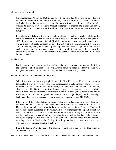Mother and Sri Aurobindo.

(Sri Aurobindo:) As for the Mother and myself, we have had to try all ways, follow all methods, to surmount mountains of difficulties, a far heavier burden to bear than you or anybody else in the Ashram or outside, far more difficult conditions, battles to fight, wounds to endure, ways to cleave through impenetrable morass and desert and forest, hostile masses to conquer – a work such as, I am certain, none else had to do before us. (26:464)

I have had my full share of these things and the Mother has had ten times her full share. But that was because the finders of the Way had to face these things in order to conquer. No difficulty that can come on the Sadhak [disciple] but has faced us on the path; against many we have had to struggle hundreds of times (in fact, that is an understatement) before we could overcome; many still remain protesting that they have a right until the perfect perfection is there. But we have never consented to admit their inevitable necessity for others. It is, in fact, to ensure an easier path to others hereafter that we have borne that burden. (26:465)

And he added:

But it is not necessary nor tolerable that all that should be repeated over again to the full in the experience of others. It is because we have the complete experience that we can show a straighter and easier road to others  $-$  if they will consent to take it. (26:464)

Mother too, indomitably, descended into the pit:

What I am made to see every night is horrible. Horrible. It's as if one were trying to thoroughly disgust me with my work. That subconscious is truly a mass of horrors. . . . The impression is that it's bottomless and limitless, that there always will be new combinations, always as horrible. But that is not true. It does change. It does change . . . but, oh, what a difficult task! And so intractable. Intractable in that you think you've come to the end of something (you don't think so, you know better than that, but you hope!), and it comes right back in another form, which seems even worse than the previous one! (11/3/62)

I don't know if it's the last battle, but these last few days it has gone down very deep, into the least enlightened part of the cells: what still belongs the most to the world of Unconsciousness and Inertia, what is the most foreign to the divine Presence. You could say it's the original substance used by Life, with a sort of incapacity to respond, to feel any reason for that life. . . . This is an identification with the world at large, with the earth as a whole. An absolutely dreadful and hopeless condition, something that has neither meaning nor goal nor purpose, that lacks any joy of its own and . . . that is worse than unpleasant – meaningless and totally devoid of feeling. Something that has no reason for being, and yet which is. It was . . . it is a dreadful situation.

I have the feeling it's quite close to the bottom. . . . And this is the base, the foundation of all materialism. (8/21/63)

The "bottom" has to be cleaned in order for the "top" to accept to come down and materialize in it.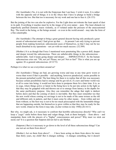(Sri Aurobindo:) No, it is not with the Empyrean that I am busy: I wish it were. It is rather with the opposite end of things; it is in the Abyss that I have to plunge to build a bridge between the two. But that too is necessary for my work and one has to face it. (26:153)

But the joining of the two can also be explosive. For the Light does not tolerate the least speck of dust in its path. Everything it touches must be in the image of its own nature – pure. The least obstacle (or imperfectly purified element) reacts violently, as if violated under the pressure of the unaccustomed Ray. The result in the being, or the beings around – or even in the world around – may take the form of a fine catastrophe.

(Sri Aurobindo:) The attempt to bring a great general descent having only produced a great ascent of subconscient mud, I had given up that. . . . At present I am only trying to prevent people from making hysterical, subconscient asses of themselves, so that I may not be too much disturbed in my operations – not yet with too much success. (32:389)

(Mother:) It is as though that Force I mentioned were penetrating like a power drill, deeper and deeper toward the subconscious. There are unbelievable things in the subconscious – unbelievable. And it keeps going deeper and deeper . . . IMPERATIVELY. So the human subconscious cries out: "Oh, not yet! Please, not yet! Not so fast!" This is what you are up against. It's a general subconscious. (4/12/72)

Perhaps it is what we see everywhere around us?

(Sri Aurobindo:) Things are bad, are growing worse and may at any time grow worst or worse than worst if that is possible – and anything, however paradoxical, seems possible in the present perturbed world. The best thing for them is to realise that all this was necessary because certain possibilities had to emerge and be got rid of, if a new and better world was at all to come into being: it would not have done to postpone them for a later time. It is, as in yoga, where things active or latent in the being have to be put into action in the light so that they may be grappled with and thrown out or to emerge from latency in the depths for the same purificatory purpose. Also they can remember the adage that night is darkest before dawn and that the coming of dawn is inevitable. But they must remember too that the new world whose coming we envisage is not to be made of the same texture as the old and different only in pattern, and that it must come by other means – from within and not from without; so the best way is not to be too much preoccupied with the lamentable things that are happening outside, but themselves to grow within so that they may be ready for the new world, whatever the form it may take. [Letter written in July 1948] (26:1611)

But why, we might ask, is it necessary to confront that horrible subconscious directly? Why can't we keep a "yogic" smile before those base and vulgar things, look at them benignly – from above – and manipulate them with the pincers of a "higher" consciousness and power? Why must we stick our necks out? It is a question that Satprem did not fail to ask Mother.

(Satprem:) But is it necessary to go down to the level of all these subconscious things? Can one not act on them from above?

(Mother:) Act on them from above? . . . I have been acting on them from above for more than thirty years, my child! But it changes nothing – it changes something, but it doesn't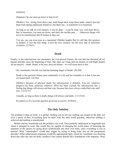transform.

(Satprem:) So one must go down to that level?

(Mother:) Yes. Acting from above may hold things back, keep them under control, prevent them from taking unpleasant initiatives, but that's not – to transform is to transform.

As long as we talk of even mastery, it can be done – it can be done very well from above. But, to transform, you must go down, and that's the terrible part. . . . Otherwise things will never be transformed; they'll remain as they are.

You see, you can even pose as a superman! (Mother laughs) But it's still like this (gesture in midair). It isn't the true thing; it isn't the new creation, not the next step of terrestrial evolution. (2/18/61)

#### <span id="page-20-1"></span>**Death**

Finally, in the subconscious one encounters the ever-present Enemy, the one that has thwarted all our human attempts since the beginning of time, that clips our wings and our dreams in mid-flight despite all our prayers – death. Death, to be sure, does not dream – we will come back to this.

(Sri Aurobindo:) On life was laid the haunting finger of Death. (28:208)

Death is the question Nature puts continually to Life and her reminder to it that it has not yet found itself. (16:386)

(Mother:) Because of physical death, the subconscious is defeatist. You see, whatever progress has been achieved, whatever effort has been exerted, the subconscious has a feeling that things will always end that way, because they have always ended that way until now. (12/22/71)

Actually, as long as there is death, things will always end badly. (11/13/63)

It's almost as if it were the question given me to resolve. (9/28/63)

## <span id="page-20-0"></span>**The Only Solution**

The problem is thus set forth: it is global. Nothing can be left out, nothing can remain in the dark, not even a speck of dust. Everything must be dealt with, the total world question, otherwise nothing is achieved and nothing is transformed.

Mother and Sri Aurobindo saw the problem very well. They perfectly understood its magnitude and where it plunged its roots. But would they be capable of changing the world alone, of hastening the mutation of the species by going down symbolically into their own body, since everything is one at bottom? What "catastrophes" would they trigger by trying to bring order into an old unrepentant disorder? What subterranean eruptions would the supramental light, which Sri Aurobindo was drawing down day after day into his body, produce? One cannot disturb life's foundations with impunity. Were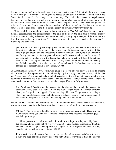they not going too fast? Was the world ready for such a drastic change? But, in truth, the world is never ready to change! A minimum of willingness is needed on our part, a minimum of blind faith in the future. We have to take the plunge, come what may. The choice is between a long-drawn-out decomposition we know all too well and an unknown future, which can be full of pleasant surprises if we are careful, at each step, to put our endeavour under the protection of the Godhead that guides this universe. At any rate, there seems to be an abundance of signs everywhere: the time for change has come. It is up to each of us to read the signs and quietly set to work, wherever we may be.

Mother and Sri Aurobindo, too, were going to set to work. That "plunge" into the body, into the material consciousness, the consciousness of the cells of the body (the cells have a "consciousness," their own mode of being, otherwise they would not exist), was going to occupy all the time that the disciples were willing to leave them. The disciples were, of course, also part of the "problem" – everything was connected.

(Sri Aurobindo:) I feel a great longing that the Sadhaks [disciples] should be free of all these strifes and doubts; for so long as the present state of things continues with fires of this kind raging all around and the atmosphere in turmoil, the work I am trying to do (certainly not for my own sake or for any personal reason) will always remain under the stroke of jeopardy and I do not know how the descent I am labouring for is to fulfill itself. In fact, the Mother and I have to give nine-tenths of our energy to smoothing down things, to keeping the Sadhaks tolerably contented etc. etc. etc. One-tenth and in the Mother's case not even that can go to the real work; it is not enough. (26:489)

Sri Aurobindo, soon followed by Mother, was going to go down into the body. It is hard to imagine what a "sacrifice" this represented for him. All the lights painstakingly conquered "above," all the bliss and "higher powers" are automatically annulled, canceled by the still uncultivated ground one goes down into. Everything has to be learned again. There are no more visions, no more spiritual flights, no more interiorization: the laws of matter can only be changed if they are fully assumed.

(Sri Aurobindo:) Working on the physical is like digging the ground; the physical is absolutely inert, dead like stone. When the work began there, all former energies disappeared, experiences stopped; if they came, they didn't last. The process is exceedingly slow. One rises, falls, rises again and falls again, constantly meeting with the suggestions of the Vedic Asuras [devils]: "You can't do anything, you are bound to fail." (34:179)

Mother and Sri Aurobindo had everything to lose by immolating themselves in a substance so contrary to what they were – and they did lose everything . . . to gain everything for the human species.

(Mother:) This is a very humble work in its appearance, very quiet. There are no illuminations filling you with joy. All that is all right for people looking for spiritual joys – that belongs to the past.

. . . All the powers, the siddhis, the realizations, all those things are – they are a big show, a big spiritual show. That's not it! It is very modest – very modest, unassuming, humble, undemonstrative. To get something visible, a tangible result, takes years and years of work, silently, quietly, with great precautions. (8/28/62)

I know perfectly well, because I've had experiences, that when you are satisfied with being a saint or a sage, the whole time you keep the right attitude, everything is fine. The body is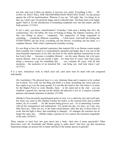not sick, and even if there are attacks, it recovers very easily. Everything is fine . . . SO LONG AS THAT WILL FOR TRANSFORMATION DOES NOT EXIST. It's the protest against the will for transformation. Whereas if you say, "All right, fine. Let things be as they are. I don't care, I'm perfectly happy and in a blissful state," the body starts to be happy again! That's it. It's the introduction of something completely new into this matter, and the body protests.  $(7/15/61)$ 

It isn't a joke, you know, transformation! Yesterday I had such a feeling that ALL the constructions, ALL the habits, the ways of looking at things, the ordinary reactions, all of that was falling to pieces – completely. The impression of being suspended in something . . . completely different, something . . . I don't know. And really the feeling that EVERYTHING one has lived, everything one has known, everything one has done, is a complete illusion. That's what I experienced yesterday evening.

It's one thing to have the spiritual experience that material life is an illusion (some people find it painful, but I found it so extraordinarily beautiful and happy that it was one of the most beautiful experiences of my life), but here it's the whole spiritual construction as one has lived it that . . . becomes a complete illusion! – not the same illusion, but a far more serious illusion. And I am not exactly a baby – I've been here 47 years! And I have been doing a conscious yoga for something like . . . yes, certainly 60 years, with all that memories – the memories of an immortal life – can bring you. And look where I am! (3/27/61)

It is a slow, meticulous work in which each cell, each atom must be dealt with and conquered individually.

(Sri Aurobindo:) The physical layer is a very obstinate thing and it requires to be worked out in detail. You work out one thing and think it is done; something else arises and you have again to go over the same ground. It is not like the mind or the vital where it is easier for the Higher Power to work. Besides, there – in the mind and in the vital – you can establish a general law, leaving out the details; the physical is not so; it requires constant patience and minutie [attention to details]. (33:309)

(Mother:) From the purely psychological point of view, it is a relatively easy and swift task, but when you come to this (Mother touches her body), to the external form and so-called matter, oh, it's a world! . . . It's like lessons being given to you – it's so interesting! Lessons with all the consequences and explanations. You spend one day, two days, on a tiny, tiny little discovery. Then you see, in the body-consciousness, after that day or those hours of work, that the light is there, that something is changed – it's changed, the reactions are no longer the same, but . . . (Mother makes a gesture as if to express the enormous magnitude of the task). (8/30/67)

There remains to learn how one goes down into a body: what does it mean practically? What discoveries were Sri Aurobindo and Mother going to make there? And how can that mysterious Supermind change our present life in matter and that of the human species in general?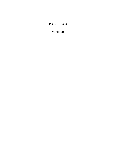# <span id="page-23-0"></span>**PART TWO**

**MOTHER**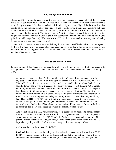#### <span id="page-24-1"></span>**The Plunge into the Body**

Mother and Sri Aurobindo have opened the way to a new species. It is accomplished. For whoever wants to set out, there now exist paths blazed in the horrible subconscious swamp. Matter's terrible inertia has given way; it has been touched and illumined by the higher light. It is the first time that counts. There just remains to follow the signposts and to undergo the experience oneself: to put one's own matter, layer after layer, in contact with "That," as Satprem did after Sri Aurobindo and Mother. It can be done – he has done it. This is not another "spiritual" dream, a nice little meditation on the heights that leaves us physically unchanged; it is a concrete and tangible and transforming reality (and quite formidable, says Satprem). Who wants to try? Do we have that much to lose anyway in leaving the increasingly precarious human groove?

Practically, whoever is interested would simply have to lose himself body and soul in The Agenda, the log of Mother's own experience, which she recounted day after day to Satprem during their private conversations. Everything is there for one who knows how to read; the secrets are wide open – it's just a matter of taking the plunge.

#### <span id="page-24-0"></span>**The Supramental Force**

To give an idea of this Agenda, let us listen to Mother describe one of her very first experiences with the supramental force, when the connection was made between the heights and the depths. It took place in 1961:

At midnight I was in my bed. And from midnight to 1 o'clock – I was completely awake in my bed; I don't know if my eyes were open or closed, but I was fully awake, NOT IN TRANCE; I could hear every sound, the clocks, etc. Suddenly the whole body (but a slightly larger body, which exceeded the purely physical form) became ONE single vibration, extremely rapid and intense, but immobile. I don't know how you can explain that, because it did not move in space, and yet it was a vibration (that is, it wasn't immobile), but it was immobile in space. It was IN the body, as if there were a vibration in EACH cell and everything were one single vibratory mass. . . . I was absolutely still in my bed. Then, WITHOUT MOVING, without any movement, it began to rise consciously – without moving at all. I was like this (Mother clasps her hands together and holds them at the level of the forehead as if her whole body were rising like a prayer). Consciously, like an ascent of this [body-]consciousness toward the supreme Consciousness.

And it kept rising like that, without moving, for a quarter of an hour. The consciousness rose and rose and rose and rose – rose until . . . the junction took place. A completely awake, conscious junction – NOT IN TRANCE. And the consciousness became the ONE, perfect, eternal consciousness, beyond time, beyond space, beyond movement, beyond . . . beyond everything – with, I don't know, an ecstasy, a bliss, something ineffable.

And it was the consciousness of the BODY.

I had had that experience while being exteriorized and in trance, but this time it was THE BODY, the consciousness of the body. It remained like that for some time (I knew it was a quarter of an hour because the clock chimed), but it was absolutely beyond time, you know.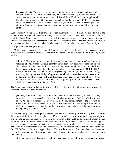It was an eternity. Then, with the same precision, the same calm, the same deliberate, clear and concentrated consciousness (absolutely NOTHING MENTAL), I started to come back down. And as I was coming down, I noticed that all the difficulties I was struggling with the other day, which caused that ailment, were ab-so-lute-ly gone, ANNULLED – mastery. Not even mastery, in fact: the nonexistence of anything whatsoever to master; just THE vibration from top to bottom. And there was no more top or bottom or anything of the sort.  $(1/24/61)$ 

Such is the first revelation, the first "miracle" of that supramental force: it annuls all our difficulties and human problems – our "ailments" – as though they DID NOT EXIST AND HAD NEVER EXISTED. (Yet the illness Mother had been struggling with for some days was a physical illness.) It is not a "power" that must battle the disorder or illness in order to impose itself. There is no battle, no effort; it appears and the illness no longer exists (Mother said it was "un-realized," removed from reality.)

A phenomenon that gives pause.

Mother would experience that "miracle" hundreds of times, in all sorts of circumstances, for the myriad ills that constantly afflict us: One drop of Supramental on the wound and everything would vanish.

(Mother:) This very morning I was following the movement. I was watching how that vibration of Truth works on certain disorders in the body (tiny bodily problems, you know: discomforts, disorders, and the like). I was watching how that vibration of Truth abolishes those discomforts and disorders. It was very clear, very obvious, and COMPLETELY SEPARATE from any spiritual, religious, or psychological notion, in the sense that, clearly, somebody having that knowledge of opposing one vibration to another wouldn't need to be a "disciple" at all or a man with a philosophical knowledge or anything of the sort; he would just need to master that in order to live a perfectly harmonious existence. It was absolutely concrete and irrefutable. (3/28/64)

The Supramental does not belong to any school. It is not a way of thinking or even praying; it is a terrestrial, massive and irrefutable fact.

(Mother:) You know how it is to be really uncomfortable, miserable, to feel nauseous, powerless, to be even incapable of moving, thinking, or anything. Really in a bad way, you know. And all of a sudden – Consciousness, the bodily consciousness of the vibration of Love, which is the very essence of creation. Just one second, and everything is illumined – pftt! Gone. Everything is gone! So you look at yourself in disbelief – it's all gone. You were feeling really miserable. It's gone. (11/23/65)

At the beginning Mother was quite surprised. She had been fighting all her life against the world's darkness in all its forms. She had given her life to it. It had been a nonstop battle, day and night, to bring a little harmony and simple joy to the many wounds of the world, to the men and women around her as well as to more remote events and difficulties. But here, suddenly, there was no more struggle. It is as if the illness or problem vanished into a nonexistence from which it had perhaps only come out accidentally? In other words, every time Mother was able to establish the contact with the Supramental IN HER BODY, the "miracle" happened again. The world's horror and falsehood disappeared – and not just in the imagination, but quite concretely and physically (a raging toothache is something quite "concrete"!).

As the years passed, Mother experienced the phenomenon in herself (when she suffered a physical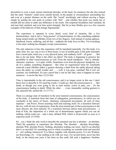discomfort or even a more serious functional disorder, of the heart, for instance), but she also noticed that the same "miracle" could occur outside herself, in the people or circumstances surrounding her, and even at a greater distance on the earth. She "cured" unwittingly and without moving a finger, simply by putting the sore point in contact with "that" – and whether that point was inside her or outside did not seem to make any difference in the result. The corporeal boundaries had vanished, far and near had vanished, and even time acted strangely. But let us hear Mother give us a few concrete examples of the behavior of that strange Supramental:

The experience is repeated in every detail, every kind of situation, like a live demonstration. And it isn't a "long process" of transformation; it's like something suddenly being turned inside out (Mother twists two of her fingers). And instead of seeing ugliness, falsehood, horror, suffering, and all that – suddenly the body lives in bliss. Yet everything is the same; nothing has changed, except consciousness.

The only unknown is how this experience will be translated materially. For this body, it is quite clear: for, say, one or two or three hours, it was in terrible pain; it felt quite miserable (not a moral pain, mind you, a very physical pain), and suddenly, brrff – all gone! . . . But that is for one body. What is the effect on others? The body is beginning to perceive the possibility in other consciousnesses as well. From the moral standpoint – that is, attitude, character, reactions – it is quite visible. Sometimes even from the physical standpoint, too: all of a sudden, something disappears – like what we experienced when Sri Aurobindo removed a pain (Mother makes a gesture showing a hand from the subtle physical taking away the pain); we would wonder and . . ., well, it was gone, vanished! But it isn't yet constant, not established. It's just a proof that it can be like that, since it happens in some instances – it can be like that.  $(12/21/68)$ 

Time is interminable in the old consciousness, and it no longer exists in this one. I don't know how to describe it. If I used big words, I would say: that old consciousness is . . . like death, as though you were going to die at each instant: you're in pain, you – it's the consciousness leading to death. While the other . . . (vast, immutable, smiling gesture) is life, peaceful life, eternal life. (11/17/71)

There is a strange state of transition in the most material consciousness, the consciousness of the body. A transition from that state of subjugation, powerlessness, in which you are constantly at the mercy of forces, vibrations, unexpected movements, all sorts of stray impulses – and Power. Power asserting itself and realizing itself. It's a transition between the two, with all sorts of experiences, from the most mental part of that consciousness to the most obscure, the most material. It's a transition between almost total powerlessness – a kind of Fate, the imposition of a whole set of determinisms against which you can do nothing, which crush you – and a clear, defined Will, which is all-powerful as soon as it expresses itself. (1/15/64)

It's – yes, I think the only word to describe the sensation one has is absolute – an absolute. That's the sensation: to experience the Absolute. The Absolute – absolute Knowledge, absolute Will, absolute Power. Nothing, absolutely nothing can resist. And it's an absolute that is so merciful! It's something next to which everything we consider kind and merciful is – oof, nothing whatsoever! It is Mercy together with absolute power. It is not Wisdom, not Knowledge, it's – it has nothing to do with our ways. For several hours, never has this body, in the ninety-one years it has been on this earth, felt such a happiness: freedom,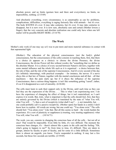absolute power, and no limits (gesture here and there and everywhere), no limits, no impossibility, nothing. (2/15/69)

And absolutely everything, every circumstance, is as catastrophic as can be: problems, complications, difficulties, everything is raging furiously like wild animals – but it's over. The body KNOWS it's over. It may take centuries, but it's over. It may take centuries to disappear, but it is now over. It is now sure, absolutely sure and certain (Mother lowers a finger), that the very concrete and absolute realization one could only have when one left matter will be possible RIGHT HERE. (3/14/70)

## <span id="page-27-0"></span>**The Work**

Mother's only work (if one may say so!) was to put more and more material substance in contact with that supramental light.

(Mother:) The education of the physical consciousness (not the body's global consciousness, but the consciousness of the cells) consists in teaching them, first, that there is a choice (it appears as a choice): to choose the divine Presence, the divine Consciousness, the divine Power (all this without words), the "something that we define as the absolute Master. It is a choice of every second between Nature's old laws, together with some mental influence and the whole life such as it is organized – a choice between that, the rule of that, and the rule of the supreme Consciousness. And it's every second of the day (it's infinitely interesting), with practical examples – for instance, the nerves: If a nerve obeys this or that law of Nature, together with the mental conclusions and all that – all that machinery – then the pain starts up; but if it obeys the influence of the supreme Consciousness, then a curious thing happens: it isn't like something getting "cured"; rather, it's as if it disappeared as a sort of unreality. (6/26/68)

The cells must learn to seek their support only in the Divine, until such time as they can feel they are the expression of the Divine. . . . This is what I am experiencing now. I do have the experience of changing the effect of things, but it isn't materialized, so I can't express it in words. But, truly, what is important is that the cells should feel, first, that they are entirely governed by the Divine (which is translated by the state of "what You will, what You will  $\dots$ "), then a sort of receptivity (what shall I say? $\dots$ ), not immobile, but  $\dots$ one could probably call it a passive receptivity. (Mother opens her hands in a smile) I don't know how to explain. All words are wrong, but one could say: "You alone exist." The cells should feel: "You alone exist." Like that. But all this seems so hard – the words harden the experience. It's a sort of plasticity or suppleness (a trusting, very trusting suppleness): what You will, what You will.  $\ldots$  (10/16/71)

The work, you see, consists in changing the conscious base of all the cells – but not all at once! That would be impossible. Even little by little, it's very difficult. The moment the conscious base changes, it's – there's almost like a panic in the cells and the feeling: "Oh, what's going to happen to me?" So from time to time, it's difficult. They are taken in groups, almost by faculty or part of faculty, and for some it's a little difficult. Sometimes there is almost an anguish, you know. You're suspended in nothing. It may last a few seconds, but those few seconds are terrible. (2/19/69)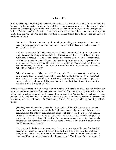# <span id="page-28-0"></span>**The Unreality**

She kept cleaning and cleaning the "intermediate layers" that prevent total contact, all the sediment that human habit has deposited in our bodies and that seems to encase us in a deadly matrix in which everything is catastrophic, everything can become an accident or an illness, everything can go wrong – truly as if we were enclosed, locked up in an unreal world and we had only to remove that matrix, to let a little light penetrate into the cells, for everything to change (that is, for us to leave the unreality of a world we call real).

(Mother:) It's like something sticky all around you, touching you everywhere. You cannot take one step, cannot do anything without encountering the black and sticky fingers of Falsehood. (12/31/63)

And what is this creation? Well, separation and malice, cruelty (a thirst to hurt, one could say), disease and decomposition and death – destruction. All this is part of the same thing. What has happened?! . . . And the experience I had was the UNREALITY of those things, as if we had entered an unreal falsehood and everything disappears when we get out of it – it no longer exists, no longer is. This is what is so frightening! That it should be, for us, so real, so concrete, so dreadful – and none of it exists. It's only – we've entered Falsehood. Why? How? What? (5/31/69)

Why, all sensations are false, my child! It's something I've experienced dozens of times a day, in every detail. You feel you need this, need that, you hurt here, hurt there – but it's all false. In fact, you have left the state of Harmony, that Harmony which is always present – but you've left it, and you need this, need that, hurt here, hurt there. Something is missing, and That is what is missing. (7/10/65)

This is really something! Why didn't we think of it before! All our ills are false, our pain is false, our ignorance and weaknesses are false, and even our "laws" are false. We are merely shut inside a "room" of unreality, which exists solely by the recognition we lend to it. We just have to get out – or stop believing in it – and that'll be it. However, one does not get out in one's head, or through transcendental meditation; one gets out in one's cells. Unless we go down to that level, we will keep building castles in the air.

(Mother:) From the negative standpoint  $- I$  am talking of the difficulties to be overcome  $$ one of the most serious obstacles is the legitimacy that the ignorant and false external consciousness, the ordinary consciousness, gives to all the so-called physical laws, causes, effects and consequences – to all that science has discovered in the material and physical realm. All that is indisputable reality for the consciousness, a reality that stands independent and absolute in the face of the eternal divine Reality. And it is so automatic that it's unconscious. (5/10/58)

The moment the body becomes conscious, it becomes conscious of its own falsehood! It becomes conscious of this law, that law, that third law, that fourth law, that tenth law – everything is "laws." "We are ruled by the physical laws: such a thing will produce such a result, and if you do this, such and such will happen, etc." Why, it oozes from every pore! I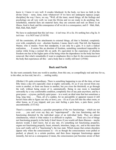know it. I know it very well. It exudes falsehood. In the body, we have no faith in the divine Grace – none, none, none whatsoever! If we have not undergone tapasya [yogic discipline] the way I have, we say, "Well, all the inner, moral things, all the feelings and psychology are all very well; we want the Divine and we are ready to do anything; but, nonetheless, material facts are material facts; they are concrete and real: an illness is an illness, food is food, and the consequence of all we do is a consequence, and if – blah, blah, blah, blah, blah, blah!"

We have to understand that this isn't true – it isn't true. It's a lie. It's nothing but a big lie. It isn't true – it is NOT true!  $(5/10/58)$ 

All the constraints, all the attachments to external things, all that is finished, completely over with, completely over – absolute freedom. I mean, there's only That left, the Supreme Master, who is master. From that standpoint, it can only be a gain. It is such a radical realization. . . . It seems like an absolute of freedom, something considered impossible to realize while living a normal life on earth. It's equivalent to the experience of absolute freedom one has in the higher parts of the being when the dependence on the body has been removed. But what's remarkable (I want to emphasize this) is that it's the consciousness of the body that experiences all this – and a body that is visibly still here!  $(3/9/66)$ 

## <span id="page-29-0"></span>**Back and Forth**

So she went constantly from one world to another, from this one, so compellingly real and true for us, to the other, no less real, but of a . . . smiling reality.

(Mother:) It's quite extraordinary. There is something happening to me all the time, at least fifty times a day (it's especially clear at night): outwardly, it's as if you moved from one room to another, or from one house to another, but you cross the threshold, or go through the wall, without being aware of it, automatically. Being in one room is translated outwardly by a very comfortable condition, completely free of any pain anywhere, and by a great peace – a joyous, perfectly quiet peace – in a word, an ideal state that last sometimes a long, long time. . . . Then, all of a sudden, for no perceptible or apparent reason (I still haven't been able to figure out why or how), you – it's as if you fell into the other room, or other house, as if you tripped; and you start feeling a pain here, a pain there; you're uncomfortable. (5/31/62)

There's a curious sensation, a peculiar perception of the two functionings – which are not even . . . you can't even say they are "superimposed" – the true functioning and the functioning distorted by the individual sense of an individual body. They are almost simultaneous, which is what makes it so difficult to explain. . . . There are a lot of things not functioning properly in the body (I don't know if you would call them illnesses – maybe doctors would, I don't know, but at any rate, it's something not functioning properly), organs not functioning properly: heart, stomach, intestines, lungs, etc.; and at the same time (you can't really call it a "functioning"), the true state. Which means that certain disorders appear only when the consciousness is  $-$  it's as though the consciousness were pulled or pushed, or placed, in a certain position, and then those improper functionings appear instantly, but not as a consequence (I mean, the consciousness just becomes aware of their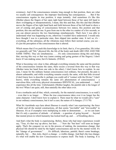existence). And if the consciousness remains long enough in that position, there are what we usually call consequences: the improper functioning has consequences. . . . But if the consciousness regains its true position, it stops instantly. And sometimes it's like this (Mother places the fingers of her open right hand between those of her open left hand to show overlapping or interpenetration), I mean, like this and that, like this and that (Mother moves the fingers of her right hand back and forth between those of her left hand to show a sort of coming and going of consciousness between two states), this position and that position, this one and that one. It goes from one to the other in a matter of a few seconds, so you can almost perceive the two functionings simultaneously. That's how I was able to understand what was happening to me, otherwise I wouldn't have understood. I would only have thought I was in a particular state, then slipped into another state. It isn't so; it's – everything, all the substance, all the vibrations must follow their normal course, you see – it's just the perception of the consciousness that is altered.

Which means that if we push this knowledge to its limit, that is, if we generalize, life (what we generally call "life," physical life, the life of the body) and death ARE ONE AND THE SAME THING. They are simultaneous. . . . It's only consciousness doing this and doing that, moving this way or that way (same coming and going gesture of the fingers). I don't know if I am making sense, but it's fantastic. (9/8/62)

What is becoming very clear is that, although everything remains the same and the position of the consciousness remains the same, there occurs a reversal from this way to that way (Mother turns her hand from one side to the other). I don't know how to explain. In one case, I mean for the ordinary human consciousness (not ordinary, but present), the pain is almost unbearable; and while everything remains exactly the same, with that little reversal (I don't know how to describe it, perhaps you could call it "contact with the Divine," I don't know), while everything remains the same (it's phenomenon of consciousness) – a marvelous bliss, with every physical circumstance IDENTICAL, you understand. . . . And I experience this all the time. Unfortunately (Mother laughs), the painful side is the longer of the two! When I am quiet, still, then naturally the other takes over.

Even a toothache and all that, which, externally, for the material consciousness, is so real(!) – even that is no longer . . . When the true consciousness takes over it no longer has the same character. I don't know how to explain it. There must be what we would call a "cure" in our ordinary consciousness, but it isn't a cure; the nature of it changes. (7/11/70)

What Sri Aurobindo says here about illnesses is exactly what I am experiencing: the force of habit and all the mental constructions, all that seems "inevitable" and "irrevocable" in illnesses. It's as if examples were multiplying in order to demonstrate . . . so we can learn that it's only a question of attitude – of attitude – a question of going beyond  $\ldots$  beyond that mental prison in which humanity has locked itself up, and . . . of breathing above.

And that's what the body is experiencing. Before, those who had inner experiences would say, "True, it's that way up above, but here . . ." Now the "but here" will soon no longer apply. That's the conquest we are in the process of making, the momentous change: that physical life should be ruled by the higher consciousness and not by the mental world. It's the "change of government." . . . It's difficult, laborious, painful; there's some breakage, naturally, but . . . But, truly, there's a change – a visible change. And that's the true change; it's what will enable the new Consciousness to express itself. The body is learning. It is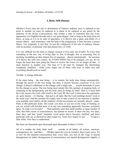#### <span id="page-31-0"></span>**A Body Still Human**

(Mother:) Every time the rule or domination of Nature's ordinary laws is replaced at one point or another (or must be replaced or is about to be replaced at any point) by the authority of the divine Consciousness, that creates a state of transition that has every appearance of a frightful disorder and a very great danger. And so long as the body does not know, as long as it is in its state of ignorance, it is thrown into a panic and thinks it's a serious illness – and sometimes, with the help of the imagination, it does become a serious illness. Yet, originally, it isn't that; it's just the withdrawal of the rule of ordinary Nature, with its auxiliary of personal vital and mental laws. (2/3/68)

It is very difficult for the body to change, because it lives only out of habit. So every time something of the new way of living slips in, free of thought, free or reasoning, free of anything resembling an idea, almost free of sensation – almost automatically – the newness of it throws the cells into a panic. So EVERYTHING has to be changed, you see. It's no longer the heart that must pump the blood or receive the Force; it's no longer all that – it must function in another way. The base of it all must be changed, the functioning completely modified – while every single one of these cells tries to make sure that everything should work as usual!

Terrible. A strange difficulty.

If the inner being – the true being – is in control, the body does things automatically, through the power of the true being; but then, it doesn't become conscious of its own change; it doesn't collaborate in the change; and it might take . . . maybe thousands of years for the change to occur. The true being must remain like this (gesture of stepping back, of remaining in the background), and the body must do things by itself. That is, it must hold the Lord, receive the Lord, offer itself to the Lord, BE the Lord. It does have the aspiration, oh, quite intense – it's blazing – that part is all right. But the Lord (smiling) doesn't work in the usual way! And the moment He simply tries to take control of one function or another, even partially (not totally), all the relations, all the movements are instantly altered – panic. Panic at that particular point. The result: you faint, or you are on the verge of fainting, or you are seized with horrible pain, or at any rate something apparently becomes extremely upset. So what is to be done? . . . Wait patiently until that small number or large number of cells, that little corner of consciousness, has learned its lesson. It takes one day, two days, three days, and that "great" traumatic event quiets down, becomes clarified, and those particular cells say to themselves (they begin to), "God, how stupid we are! . . . " It takes a little while. Now they've understood.

But there are thousands upon thousands upon thousands of them! (1/9/63)

All of a sudden the body finds itself . . . outside of all habits, all actions, reactions, consequences, etc., and that's . . . (Mother opens her eyes in wonder), then it goes away. It's so new for the material consciousness that, every time, you feel on the verge of mental derangement (or rather, derangement of consciousness, not mental derangement; happily, it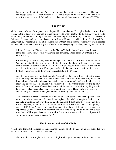has nothing to do with the mind!). But for a minute the consciousness panics. . . . The body has enough sense to – it knows it isn't ill – it knows it isn't an illness; it's just an attempt at transformation. It knows it full well, but . . . there are all those centuries of habit. (5/20/70)

# <span id="page-32-1"></span>**"The Divine"**

Mother was really the focal point of an impossible contradiction. Through a body constituted and formed in the ordinary way, she was in touch with a world totally contrary to the ordinary way, a world where our good and evil no longer had the same meaning, where the fixity of our laws, the sense of finiteness, distance, and even time, became something different, . . . which Mother liked to call "the Lord," that is, a "something" one still cannot name without using circumlocutions, yet which seemed endowed with a very concrete reality since "He" directed everything in the body at every second of life.

(Mother:) I say "the Divine" – what is the "Divine"? Well, I don't know – and I can't say that I don't know, either. And even saying that is wrong. That's not it. Everything is NOT IT. (10/13/71)

But the body has learned that, even without ego, it is what it is; for it is that by the divine Will and not at all by the ego – we exist by the divine Will and not by the ego. The ego has been a means – a centuries-old means. Now it is worthless; its time is over. It has had its time, its usefulness – it's over, it's the past, far back in the past. Now . . . (Mother lowers her fist) it's consciousness, it's the Divine – individuality is the Divine.

And this body has clearly understood, felt, "realized," as they say in English, that the sense of being a separate personality is totally unnecessary, TOTALLY unnecessary, not in the least indispensable to its existence. It exists by another power and another will, which is not individual or personal – the divine Will. And it will become what it is supposed to be only when it feels there's no difference between it and the Divine. That's all. Everything else is falsehood – false, false, false – and a falsehood that must go. There's only one reality, only one life, only one consciousness (Mother lowers her fist) – the Divine. (6/9/71)

There was such a sense of warmth, of intimacy, of . . . sweetness, and such a power at the same time, oh, so concrete! The whole atmosphere, the whole atmosphere had become concrete: everything, but everything tasted like the Lord. I don't know how to explain that. It was completely material, as if I had a mouthful of it! It was everywhere, in everything. And so PHYSICAL! Like – you could compare it to the most delicious taste you can experience (it had a very, very material feel and taste to it). It's as if you could feel something solid in your hand when you closed it – such a warm and sweet and powerful vibration, so powerful, so concrete! (5/19/61)

## <span id="page-32-0"></span>**The Transformation of the Body**

Nonetheless, there still remained the fundamental question of a body made in an old, outmoded way, which had to respond and function in the new way....

(Sri Aurobindo:) It might be that a psychological change, a mastery of the nature by the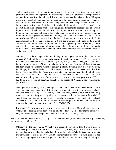soul, a transformation of the mind into a principle of light, of the life-force into power and purity would be the first approach, the first attempt to solve the problem, to escape beyond the merely human formula and establish something that could be called a divine life upon earth, a first sketch of supermanhood, of a supramental being living in the circumstances of the earth-nature. But this could not be the complete and radical change needed; it would not be the total transformation, the fullness of a divine life in a divine body. There would be a body still human and indeed animal in its origin and fundamental character and this would impose its own inevitable limitations on the higher parts of the embodied being. As limitation by ignorance and error is the fundamental defect of an untransformed mind, as limitation by the imperfect impulses and strainings and wants of desire are the defects of an untransformed life-force, so also imperfection, a limitation in the response of its halfconsciousness to the demands made upon it and the grossness and stains of its original animality would be the defect of an untransformed or imperfectly transformed body. These could not but hamper and even pull down towards themselves the action of the higher parts of the Nature. A transformation of the body must be the condition for a total transformation of the nature. (16:21)

(Mother:) Take the change in the functioning of the organs, for example. What is the procedure? And both [ways] are already starting to exist side by side. . . . What is required for one to disappear and for the other to stay all by itself, changed? Changed, because as it is now, it would not be sufficient to make the body function; there are all those functions the body must still perform which it couldn't perform. It would stay in a blissful state, would enjoy its condition – but it couldn't enjoy it for long, for all its needs would still be there! This is the difficulty. Those who come later, in a hundred years, two hundred years, won't have these difficulties. They will just have to choose: no longer to belong to the old system or to belong to the new. But at present? . . . A stomach must digest, you see! There has to be a new way of adapting oneself to the forces of Nature, a new functioning.  $(2/13/62)$ 

When you think about it, it's easy enough to understand: if the question were merely to stop something and begin something ELSE, it could be done rather swiftly. But to keep the body alive (to keep it working, that is) while, at the same time, introducing a new functioning adequate enough to keep the body alive, and a transformation – that makes for a kind of very difficult combination to realize. . . . Especially, you see, as regards the heart. The heart replaced by the center of Power, a formidable dynamic power! At what moment do you suppress the circulation and throw in the Force?? (10/6/62)

It's a hundred times more wonderful than we can ever imagine. The problem is to know whether this (pointing to the body) will be able to follow. . . . To follow means not only to last, but to acquire new strength and a new life. That I don't know. (10/30/71)

The contradiction, the tension in that body was tremendous. Things could not last that way – something had to give or . . . Or what?

(Mother:) It [the body] says, "Actually, it's especially for others that it would make a difference [if it died]! For me, it's . . . " Because, you see, they are still in that sort of illusion that one dies when the body dies. But even this [Mother's body] is not sure which is true anymore! . . . For the body, it should be matter that is the truth – but then, even it is not too sure (laughing) what matter is anymore! There is the other, the other way of looking at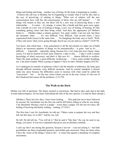things and feeling and being – another way of being. So the body is beginning to wonder. . . . It knows the old way is finished, but it's beginning to wonder what it will be like, that is, the way of perceiving, of relating to things: "What sort of relation will the new consciousness have with the old consciousness of those who are still human? . . . " All things will remain as they are, but there will be a new way of perceiving them, a new relationship. . . . It comes – it's strange, it comes like a breath and then goes away again. Like a breath of a new way of looking at things, a new way of feeling, of hearing. It's like something getting closer and then being veiled. And then, the appearance [of Mother's body] is . . . (Mother makes a chaotic gesture). Yet, quite visibly, I am not sick, but there are moments when . . . it's very difficult. Very difficult. And several times, I have experienced both [ways] at the same time. . . . So (laughing) the body says to itself, "Well, if they only knew what you're going through, they'd say you are mad as a hatter!" (4/29/70)

You know, that whole base – from automatism to all the movements we make out of habit (there's an enormous quantity of things we do automatically) – is gone. And so it's  $\dots$ difficult. . . . Especially – especially eating, because for a very long time now (many, many years), I've had no interest in food, none whatever. I take it only . . . I take it with a certain knowledge of what's necessary, and that's it. But now it's . . . almost difficult to swallow. That's the main problem: a great difficulty swallowing. . . . I have some trouble breathing, too. I am short-winded. What is going to happen? I have no idea. (Mother laughs) (4/8/70)

As it undergoes its transfer of authority (what I call the transfer of authority), the body goes through difficult moments, truly difficult moments. And by normal standards it doesn't make any sense because the difficulties seem to increase with what could be called the "conversion" – but . . . for the true vision (when you are in the true vision), it's the rest of the Falsehood that causes all the problems. (1/31/70)

## <span id="page-34-0"></span>**The Walk in the Dark**

Mother was full of questions. The future seemed so mysterious. She had to take each step in the dark, in total unknowingness. (If one knew beforehand the fate of the new species, it would be there already.)

(Mother:) These last few days, I have been looking. . . . This path has never been followed by anyone! Sri Aurobindo was the first one and he left before telling us what he was doing. I am absolutely blazing a trail in a jungle – worse than a jungle. For the last two days, the feeling of knowing absolutely nothing – nothing.  $(7/15/61)$ 

The first time I saw Sri Aurobindo, he told me, "Others came to prepare the way and they left, but this time, it's to DO." And he, too, left.

He left. He did tell me, "You will do it." But he said it "like that," the way he used to say things, you know. It was not a statement that gives you an absolute certitude. . . .

I can't say that I am raising the question, because I am not  $-$  I am not raising it  $-$  but both possibilities are there (suspended gesture), and neither gets answered. There are times when I have the vision of the things I need to  $d$ o $)$  – it comes but against a backdrop of complete uncertainty.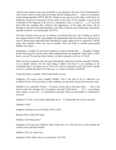And the next minute comes the possibility to go through to the end of the transformation, with a clear vision of what needs to be done, but the background is . . . there's no Assurance in the background that it WILL BE SO. Neither in one case nor in the other. And I know it's deliberate, because it's necessary for the work in the cells. If, for example, I received the Command of the Supreme (I do receive it sometimes, clear, as clear as . . .), if I received from Him the certitude that, whatever the appearances of the path, this body will go through to the end of the transformation, well, there would be some slackening somewhere, and that would be very detrimental. (9/25/65)

The only solution was to go on, to continue to incarnate that new way of being on earth in the minutest details of life. And perhaps the Supramental had more than one surprise up its sleeve? What seems impossible and contradictory today might not be so tomorrow? All the same, that transition from one way to another, from one body to another preoccupied Mother very much. . . .

Sometimes, I wonder if it isn't sheer madness to want to attempt this. . . . Shouldn't I simply let this body dissolve and let other, better-adapted bodies be prepared? I don't know. I don't know, you see! No one has done it before, so there's nobody to tell me. (2/13/62)

When you have someone who has gone through the experience and has naturally Wisdom, it's so simple! Before, for the least thing, I didn't even have to say anything to Sri Aurobindo and it was taken care of. Now, it's I who am doing the work, and I have nobody to turn to; nobody has done it! So that, too, is a source of tension. (8/26/64)

I hope this body is capable. There's that doubt, you see.

(Satprem:) Of course you're capable, Mother. This is the time to do it, otherwise you wouldn't be here. If you are here, in this condition, it's precisely because the time has come.

(Mother:) Yes, naturally! I know – of course, I know this is the time when . . . This is the time to make the Attempt, but is it going to succeed? I don't know.  $\dots$  Is it – to put things more clearly, if you will – is it destined to succeed? There lies the doubt. Is it destined to succeed?

(Satprem:) To me, it just seems impossible not to – it's impossible for it not to succeed.

(Mother:) Why?

(Satprem:) Because you're the body of the world!

Because this is really the Hope.

(Mother:) Isn't that poetry?

(Satprem:) Of course not, Mother! That's really how it is. One just has to look around: the world is more and more hellish.

(Mother:) Oh, yes. Quite true.

(Satprem:) Well, that's what is in your body. (9/12/70)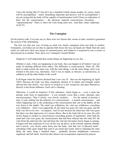I have the feeling that if I last till I am a hundred (which means another six years), much will be accomplished – much. Something important and decisive will be accomplished. I am not saying that the body will be capable of transformation itself (I have no indication of that), but the consciousness – the physical, material consciousness becoming . . . "supramentalized." That's it; that's the work being done now. And that's what's important.  $(4/26/72)$ 

## **The Contagion**

On the positive side, if we may say so, there were two factors that, sooner or later, seemed to guarantee the success of the undertaking.

The first was that new way of being on earth was clearly contagious from one body to another. Fortunately, our bodies are not shut in separate little boxes the way our heads are! Made from the same mold, our cells have their own means of communication, and whatever is acquired by one is sooner or later passed on to another. Thus, there was "contagion" around Mother.

(Satprem:) I well understand that certain things are happening in you, but . . .

(Mother:) Look, if they are happening in one body, they can happen in all bodies! I am not made of anything different from others. The difference is consciousness. That's all. This body is made exactly the same way, with the same things. I eat the same things, and it was formed in the same way, absolutely. And it was as stupid, as obscure, as unconscious, as stubborn as all the other bodies in the world.

It all began when the doctors declared that I was very ill – that was the beginning [in April 1962]. Because the body was then completely drained of its habits and strength, which allowed the cells slowly, very slowly to awaken to a new receptivity and open themselves directly to the divine Influence. Each cell is vibrating.

Otherwise, it would be hopeless! If this substance, which began as – even a stone has already some form of organization  $-$  it was certainly worse than a stone: absolute, inert unconsciousness. Then it slowly, very slowly, awakens. . . . For the animal to become a man, it took nothing but the infusion of a consciousness – a mental consciousness – and what's happening now is the awakening of the consciousness that was in the depths, all the way down in the depths. The mind was withdrawn, the vital was withdrawn, everything was withdrawn – when I was supposedly ill, the mind was gone, the vital was gone, and the body was left on its own – on purpose. And it's just because the mind and vital were gone that there was that impression of a serious illness. But in the body left on its own, the cells slowly began to awaken to consciousness (ascending gesture of aspiration). After both the mind and vital were gone, the consciousness that had been infused into the body BY the vital (from the mind into the vital and from the vital into the body) slowly began to emerge. It began with that explosion of Love all the way up above, at the extreme supreme altitude, and it slowly, very slowly came down into the body. And that sort of physical mind – something really quite stupid that used to go round and round, forever repeating the same thing, the same thing a hundred times – gradually became enlightened, conscious, organized, and fell silent. And from that silence rose an aspiration expressed by prayers.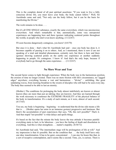This is the complete denial of all past spiritual assertions: "If you want to live a fully conscious divine life, you must leave your body; the body cannot follow." Well, Sri Aurobindo came and said, "Not only can the body follow, but it can be the basis for manifesting the Divine."

The work remains to be done...

But it's all ONE SINGLE substance, exactly the same everywhere, which was unconscious everywhere. And what's remarkable is that, automatically, some very unexpected experiences are happening here and there (gesture indicating scattered points throughout the world), in people who don't even know anything. (11/22/67)

I'll soon become dangerously contagious, you know! (4/4/70)

But once it is done – that's what Sri Aurobindo had said – once one body has done it, it becomes capable of passing it on to others. And, as I mentioned, there is now (I am not speaking of a total and detailed phenomenon, certainly not), but there is here and there (gesture showing scattered points on the earth) one experience or another suddenly happening in people. It's contagious. I know it! And that's the only hope, because if everybody had to go through the same experience. . . . (11/22/67)

## **No More Wear and Tear**

The second factor comes to light through experience: When the body was in the harmonious position, the erosion of time no longer existed. There was no more friction with life's circumstance, no "jagged edges" anywhere; everything became a vast and harmonious – "divine" – unfolding, like great undulating waves, from morning breakfast to the swarm of disciples who still had to be seen every day. The body thus seemed to be able to last an eternity.

(Mother:) The conditions for prolonging the body almost indefinitely are known or almost known (they are more than just an inkling; they are known). And they are learned through the work necessary to counteract the EXTREME FRAGILITY of the physical balance of the body in transformation. It's a study of each minute, as it were, almost of each second.  $(4/17/65)$ 

You see, my body is beginning – beginning – to understand that the divine side means a life that is . . . (Mother opens her arms in an immense gesture) progressive and luminous. But there's the accumulation of past experiences that says, "Oh, this isn't possible!" That's it. And that stupid "not possible" is what delays and spoils things.

It's based on the fact that the minute the body leaves the true attitude it becomes painful: everything starts to hurt, to be laborious – you have the feeling of death and dissolution in everything. And this is what strengthens . . . matter's stupidity. (8/30/72)

Sri Aurobindo had said, "The intermediate stage will be prolongation of life at will." And my impression is that it's possible. But on the condition that . . . the body itself have only one idea: transformation. It has to be quiet, concentrated . . . I can stay for hours like that, in a sort of receptive contemplation, and it seems like a second. Time, yes, is curious. There is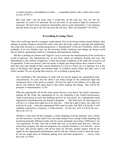a certain receptive contemplation in which . . . (suspended gesture with a smile) time ceases to exist. (9/14/71)

But every time I ask my body what it would like, all the cells say, "No, no! We are immortal; we want to be immortal. We are not tired; we are ready to fight for centuries if necessary. We have been created for immortality and we want immortality." I am realizing that the nearer you get to the cell, the more the cell says, "But I am immortal!" (10/16/62)

## **Everything Is Going There**

Thus, one could hope that the contagion would spread, first in the human bodies around Mother, then perhaps at greater distances around the earth. And since the body could in principle last indefinitely, one could look forward to a constant progression, a "densification" of the new Possibility, which would gradually, at its own rhythm, carry out the necessary bodily mutations and change our human world into an entirely supramental world in a continuous and harmonious fashion.

But this is perhaps too human and "logical" a way to envision the transformation of the world into a world of harmony. The Supramental has its own laws, which are infinitely flexible and wise. The Supramental is also infinite compassion; it takes the present conditions of the earth into account in all its operations. It does not destroy, does not break; it simply puts things before their content of truth . . . until they have had enough of their current falsehood. It is not in a hurry, for it is supreme. It is at the heart of all things, their springs and intimate hope. If evolution cannot follow this path, well, it will follow another! We are all going there anyway, for everything is going there.

(Sri Aurobindo:) The obscuration of earth will not prevail against the supramental truthconsciousness, for even into the earth it can bring enough of the omniscient light and omnipotent force of the spirit to conquer. All may not open to the fullness of its light and power, but whatever does open must to that extent undergo the change. That will be the principle of transformation. (1:20)

What the supramental will do the mind cannot foresee or lay down. The mind is ignorance seeking for the Truth, the supramental by its very definition is the Truth-Consciousness, Truth in possession of itself and fulfilling itself by its own power. In a supramental world imperfection and disharmony are bound to disappear. . . . But what, how, by what degrees it will do it, is a thing that ought not to be said now – when the Light is there, the Light will itself do its work – when the supramental Will stand on earth, that Will will decide. It will establish a perfection, a harmony, a Truth-creation – for the rest, well, it will be the rest – that is all.  $(22:12)$ 

(Mother:) I have here all the examples, a small sampling of all the attitudes, and I clearly see the reactions; I see the same Force, the same unique Force, acting in that sampling and producing naturally different results, but for a more profound vision those "differences" are very superficial: it's only "they like to think that way, so let them think that way." But the actual inner progress, the inner development, the essential vibration, is not affected – not in the least. One person aspires with all his heart for Nirvana, another aspires with all his might for the supramental manifestation, and in both the vibratory result is about the same. It's all one single mass of vibrations getting more and more prepared to . . . receive what has to be. (5/19/65)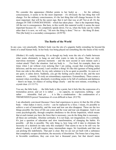We consider this appearance (Mother points to her body) as . . . for the ordinary consciousness, it seems to be the most important – it's obviously the last thing that will change. For the ordinary consciousness, it's the last thing that will change because it's the most important: that will be the surest sign. But it isn't that way at all! Not at all. It's the changes IN THE CONSCIOUSNESS – which has taken place – that is the important thing. All the rest is consequences. But here, in this world, this material world, it seems the most important because it's – it's completely upside down. For us, when the body can be visibly other than it is now, we will say, "Ah now the thing is done." Not so – the thing IS done. This [the body] is a secondary consequence. (4/29/70)

## **The Battle of the World**

In any case, very practically, Mother's body was the site of a gigantic battle extending far beyond the limits of a small human body. In her body was being played out something like the future of the world.

(Mother:) It's really interesting. It's as though my body were the site of a battle between what wants obstinately to hang on and what wants to take its place. There are truly marvelous moments – glorious moments – and the next second or next minute such a violent attack! That's the situation. And my body is . . . For food, for example, there are times when I eat without even noticing that I am eating, except that everything tastes delicious; and the next second, I can't swallow a thing! It's like this (gesture of being pulled from one side to the other). So my only solution is to be as quiet as possible. As soon as I am quiet, it calms down. Suddenly, you get the feeling you're about to die, and the next minute it's . . . eternity. It's truly an extraordinary experience. Extraordinary. There comes a moment when everything, absolutely everything seems to be full of confusion and darkness – there's no hope, no chance of seeing things clearly – and the next minute, everything is crystal clear. (11/13/71)

You see, the little body . . . the little body is like a point, but it feels like the expression of a tremendous power, and yet it is rather . . .: no capacity, no expression, nothing – and rather . . . miserable. And yet . . . it is like a condensation – the condensation of a TREMENDOUS power! Sometimes it's even difficult to bear. (9/2/70)

I am absolutely convinced (because I have had experiences to prove it) that the life of this body – what makes it move, evolve – can be replaced by a force. I mean, it's possible to achieve a sort of immortality, and the wear and tear can also disappear. These are the two things possible: the force of life can come and the wear and tear can disappear. And it can come psychologically, through complete obedience to the divine Impulsion, which means that at each instant you have the force that is necessary, you do the thing that is necessary – all these are certitudes. Absolute certitudes. It is not hope, not imagination; it's a certitude. It's just a question of education and slow transformation, of changing the habits. It's possible – all this is possible. The only thing is, how long will it take to eliminate the necessity of a skeleton (to take only this example)? That seems to me to be still very far ahead. I mean, it will still require many intermediate stages. Sri Aurobindo said that one can prolong life indefinitely. That part is clear. But we are not yet built with a substance that completely escapes dissolution, the necessity of dissolution. The bones last a long time; in favorable conditions, they can even last a thousand years, but that doesn't mean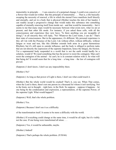immortality in principle. . . . I can conceive of a perpetual change; I could even conceive of a flower that would not wither. But this principle of immortality . . . That is, a life basically escaping the necessity of renewal, a life in which the eternal Force manifests itself directly and eternally, and yet in a body that is physical (Mother touches the skin of her hands). I can readily accept a progressive change that would make this substance into something capable of eternally renewing itself from inside out – and that would be immortality – but it seems to me that many steps would be necessary between what exists now, what we are at present, and that other life mode. For instance, if you asked these cells, with all the consciousness and experience they now have, "Is there anything you are incapable of doing?," in all sincerity they will reply, "No! Whatever the Lord wants, I can do." That's their state of consciousness. But in the appearance, it's different. My personal experience is this: all I do with the Presence of the Lord, I do without effort, without difficulty, without fatigue or wear and tear, like this (Mother extends both arms in a great harmonious Rhythm), but it's still open to outside influence, and the body is obliged to perform tasks that are not directly the expression of the supreme Impulsion, hence the fatigue, the friction. Yet a supramental body suspended in a world that is not the earth would hardly be a solution, would it! We need something that has the power to resist the contagion. Man can't resist the contagion of the animal – he can't; he is in constant relation with it. So what will that being do? It would seem that for a long time – a long time – the law of contagion will prevail.

(Satprem:) I don't know, I don't see any impossibility there.

(Mother:) No?

(Satprem:) As long as that power of Light is there, I don't see what could touch it.

(Mother:) But the whole world would be crushed! That's it, you see. When That comes, when the Lord is there, there's not one person in a thousand for whom it isn't terrifying. Not in the brain, not in thought – right here, in the flesh. So suppose – suppose it happens – let one being be the condensation and expression, a representation, of the supreme Power, of the supreme Light. What would happen?!

(Satprem:) Well, that's the whole problem.

(Mother:) Yes.

(Satprem:) Because I don't see it as a difficulty

of the transformation itself. It seems to be more a difficulty with the world.

(Mother:) If everything could change at the same time, it would be all right, but it's visibly not the case. If one being were transformed all alone . . .

(Satprem:) Yes, it would be unbearable, maybe.

(Mother:) Indeed!

(Satprem:) That's perhaps the whole problem. (9/30/66)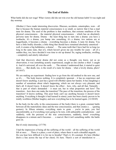## **The End of Habits**

What battle did she not wage! What victory did she not win over the old human habit! It was night and day nonstop.

(Mother:) I have made interesting discoveries. Illnesses, accidents, catastrophes, wars – all that is because the human material consciousness is so small, so narrow that it has a mad taste for drama. The seed of the problem is that smallness, that extreme smallness of the physical consciousness – the material physical consciousness – which has an absolutely perverse taste for drama. Drama – the least thing has to turn into a drama: you have a toothache, it's a drama; you bump into something, it's a drama; two nations are at loggerheads, it becomes a drama – everything becomes a drama. A taste for drama. You have a little bodily disorder, a little thing that should have remained absolutely unnoticed – well, it creates a big hullabaloo, a drama! . . . The same teeth that I have had for so long (so long in the same state, that is!), which haven't given me any trouble for years – all of a sudden they, too, have decided it was time to stir up drama! So, raging toothache, swelling – completely and utterly ridiculous!

And that discovery about drama did not come as a thought, you know, not as an observation; it was something acutely experienced, caught as one catches a thief. I caught it. And it's universal, all over the earth. . . . The minute I understood that, it started to quiet down. . . . But death, too, is the result of a taste for drama – what a lovely drama, phew!  $(6/14/67)$ 

We are making an experiment: finding how to go from the old method to the new one, and so it's . . . The body knows nothing. It is completely ignorant – it has no experience and doesn't know anything; it just has a good will (Mother opens her hands). It has (laughing) a number of sensations about what's happening, which are not always very pleasant, and that's all. It doesn't know. It doesn't know the effect – how, why, and all that. Naturally – that is part of what's demanded – it must eat; but in what proportion and how? The transition – how does one make the transition? The pace of the transition, the process of the transition? It knows nothing. This poor body can't say anything because it doesn't know anything. Everything it thought it had learned in ninety years has been clearly proven to be totally worthless (Mother laughs), and now everything has to be learned again. (12/20/69)

In the body (in the cells, in the consciousness of the body) there is a great, constant battle between all the materialistic ideas and the true consciousness, and that creates a . . . (grating gesture). In fifteen minutes, everything starts to grate – you're in pain, you feel uncomfortable, as if everything were going to be torn, with unbearable contradictions – and suddenly, with the pressure of the true consciousness, suddenly, brrm! everything disappears in a minute and it becomes . . . a marvel. But it isn't something stable: the battle goes on.

But it's truly interesting. (3/7/70)

I had the impression of being all the suffering of the world – all the suffering of the world felt at once. . . . There is a place, a sort of place, where there is such a dreadful anguish. . . . Do you hear how difficult it is for me to breathe? That's it. It's constant. It's here (Mother draws a line across the top of her chest). It's here. There's a sort of interdiction to . . .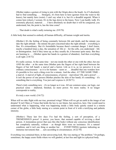(Mother makes a gesture of rising to join with the Origin above the head). As if I absolutely had to find something. . . . Strangely, it's from here to here (gesture from the waist to the knees), but mainly here (waist). I can't say what it is, but it's a dreadful anguish. When it comes here (chest), I scream. It's in the legs down to the knees. Now I can hardly walk. It's extremely physical, material. . . . I have absolutely no doubt that it will be conquered, you understand, but, the point is, has the time come?

. . . That doubt is what's really torturing me. (9/9/70)

A little body that seemed to embody all human difficulty, all human weight and inertia.

(Mother:) It's the feeling of being constantly between life and death, and the minute you take the right attitude – the minute the part concerned takes the right attitude – everything is fine. It's extraordinary. But it's formidable because there's constant danger. I don't know, maybe a hundred times a day, the sensation of: life or  $-$  for the cells, you understand  $-$  life or disintegration. And if they tense up, as they usually do, it becomes quite nasty. But they are learning to . . . (Mother opens her hands in a gesture of abandon). And then everything is all right. (3/8/72)

It's really curious. At the same time – not one inside the other or one with the other, but one AND the other – at the same time (Mother puts the fingers of her right hand between the fingers of her left hand): a marvel and a horror. Life as it is, as we perceive it in our ordinary consciousness – as it is for humans – seem so . . . dreadful that one wonders how it's possible to live such a thing even for a minute. And the other, AT THE SAME TIME – a marvel. A marvel of light, of consciousness, of power – marvelous! Oh, and a power! . . . It isn't the power of one person (Mother pinches the skin of her hand); it's something – it's something that is everything. You just can't express it. (8/28/71)

There's truly something new – it's no longer as it was. All our common sense, our logic, our practical sense – shattered, finished, no more power. No more reality. It no longer corresponds to reality.

It's truly a new world. (5/6/72)

When will we take flight with our true, promised wings? When will we get an earth in the image of our dreams? It isn't Mars or Venus that holds the key to our future, but ourselves, here. One would need to understand what is happening, what was happening inside a little body quietly seated in a remote corner of the globe, a little body staring at a certain point in front of it with a terrifying and pathetic intensity.

(Mother:) These last few days I've had the feeling, a sort of perception, of a TREMENDOUS power! A power, you know, that seemed capable of reviving a dead person. A tremendous power that uses this (the body) without any conscious identification but completely naturally, without – as though there were no resistance. It's a natural condition, and it isn't one thing or another but . . . EVERYTHING (gesture indicating an immense movement) that . . . acts according to circumstances. (4/22/70)

Everything was contained there, in that unwavering look. She was staring at "the problem." Or perhaps, sometimes, the happy azure fields where we will gambol, at last free and light in a physical body.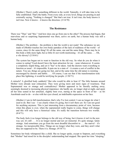(Mother:) There's really something different in the world. Naturally, it will take time to be fully established. That's the battle. From every side, at every level, things are pouring in and externally saying, "Nothing is changed." But that's not true. It isn't true; the body knows it isn't true. Now it knows – it knows the direction.  $(3/14/70)$ 

## **The Resistance**

There was "That," and "this." And how does one go from one to the other? The process had begun, that marvelous and so surprising Supramental was there, active on earth, but a human body was still a human body.

(Mother:) The problem – the problem is that the world is not ready! The substance we are made of (Mother touches her own body) partakes of the lack of readiness of the world – of course, since it's the same thing! It's all the same, one and the same thing. There may be in this body a little more light, but so little it's not worth mentioning – it's all the same. . . . Oh, a vile slavery! (2/18/61)

The system has begun not to want to function in the old way. So what do you do when it comes to eating? Food doesn't have the least attraction for me – none whatsoever. It seems a completely stupid thing, and yet it "has" to be taken. And the doctors want everything to function as usual – it's impossible. It puts me in a state of – it creates a sort of conflict in the nature. You see, things are going too fast, and at the same time the old nature is resisting – encouraged by doctors and habits. . . . Of course, I can see that if the transformation took place like lightning, it would be terrifying for people. (1/30/71)

A miracle? A glorified body suddenly? But who would be able to bear it? The little humans around Mother were already near exhaustion. They were giving more and more signs of weariness. That Supramental was so strange and contradictory! Mother appeared to be literally melting away, seemingly doomed to increasing physical impotence: she hardly ate, no longer slept at night, and spent all her time seated in her armchair, slightly bent over, staring at the space in front of her – as Sri Aurobindo used to do – or else with her eyes closed, an indefinable expression on her face.

(Mother:) I am in full transformation; that's why I've lost control. I can no longer do what I used to do. But I see – I see clearly where it's going, but it isn't there yet. So I am not good for anything anymore. This is just interesting from a documentary point of view, because when this phase is over, when the supramental really begins to come, things will change and this will only have a historical value. It's really the transition between two worlds.  $(8/4/71)$ 

The body feels it no longer belongs to the old way of being, but it knows it isn't in the new way yet; it's still . . . It is no longer mortal and not yet immortal. It's quite strange. Quite strange. And sometimes you go from the most dreadful discomfort to . . . the marvel – it's strange. An inexpressible bliss. Things are no longer what they were, and they aren't what they are supposed to be. There it is. Strange. (9/18/71)

Sometimes her body whimpered like a child. She no longer spoke, except to Satprem, and everything that "Mother" had stood for in the disciples' understanding had stopped. She spent her time "sleeping,"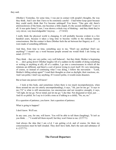they said.

(Mother:) Yesterday, for some time, I was put in contact with people's thoughts, the way they think. And I saw that I have to be extremely careful  $-I$  had better keep quiet because they could easily think that I've become unhinged! You know: "One gets old, there's arteriosclerosis of the brain, one becomes a little stupid, it's the second childhood." I saw it all. It was quite funny! I saw, I was shown a whole way of thinking – and they think they're very clever, very knowledgeable! Anyway. . . . (7/14/62)

I really think the physical world is changing, It will probably become evident in a few hundred years, because it takes a long time to become visible to the ordinary human consciousness. But the contact is there (Mother feels the air between her fingers), as if . . . it were made of something different.

And then, from time to time, something says to me, "Don't say anything! Don't say anything!" I mustn't say a word because people around me would think I am losing my mind. (5/27/72)

They think – they are very polite, very well behaved – but they think: Mother is beginning to . . . she's going down! (Mother laughs) All of a sudden (in the middle of doing something or writing or anything at all), all of a sudden, I go into a consciousness in which all the relations are different, and there's a sort of power trying to exert itself. It's very interesting, of course, so instead of continuing what I was doing, I follow the movement – "Look, Mother's falling asleep again!" I read their thoughts as clear as daylight, their reactions, etc. And I am polite; I don't say anything. If I weren't polite, it would create disasters.

But at least one person will know!

. . . I look at this body, and sometimes (when there is too much incomprehension, when those around me are too utterly uncomprehending), it says, "Ah, just let me go." It says to me ("it" is what is still unconscious, too unconscious and not receptive enough), it says, "All right, let me go. Never mind; just let me go." Like that. Not disgusted or tired, just . . . And it's so pitiful. So I say to it (with a tone as if talking to a child), "No, no, no."

It's a question of patience, you know. Just a question of patience.

What is going to happen?

I don't know. We'll see.

In any case, you, for one, will know. You will be able to tell them (laughing), "It isn't as you think. . . ." I would tell them myself, but they won't listen to me. (2/27/71)

And always the idea that I am o-l-d. I am getting o-l-d, and of course, for them my consciousness must be half clouded. They don't have faith, that's the sum and substance of it. (2/27/71)

## **The Forced Departure**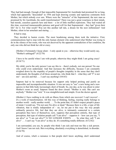They had had enough. Enough of that impossible Supramental Sri Aurobindo had promised for so long, which had apparently "descended" in 1956 and kept drawing ecstatic and rapturous comments from Mother, but which nobody ever saw. Where were the "miracles" of the Supramental, the new man as promised by Sri Aurobindo, the sunlit transformation? There was just a great weariness in their minds, bad moods, ceaseless quarrels here and there – a lot of little muffled explosions. They had waited all this time, exercised immeasurable patience and good will for that Supramental – they had "given their life" for it. For what result? Was not this another tall tale, a dream for the next millennium? And Mother, silent in her armchair and staring. . . .

It had to stop.

They decided to hasten events. The most headstrong among them took the initiative. First, communications had to stop with the only human element who understood what Mother was trying to do in the silence of her room, who was not deceived by the apparent contradiction of her condition, the only one who did not think her old or crazy.

(Mother:) Fortunately I keep silent – I only speak to you – otherwise they would surely say, "Mother's unhinged!" (4/22/70)

I have to be careful when I am with people, otherwise they might think I am going crazy! (9/18/71)

My child, you're the only person I can say this to – there's nobody, not one person! No one who could even understand. And that increases the difficulty, because I am constantly weighed down by the stupidity of people's thoughts (stupidity in the sense that they don't understand), the thoughts of all those around me, who think that  $I$  – what they call "I" is not me! – am sick and that  $\dots$  I can't say anything! (4/6/63)

Satprem had to be removed because his support only helped prolong and justify an impossible and incomprehensible situation. It was not easy to "see" a new being and a new species in that little body increasingly short of breath. So, one day, as he was about to enter Mother's room as usual, Satprem found the door closed: "Mother is sick. She can't see anybody." Mother was "sick." It was straightforward and simple. Even the doctor agreed.

(Mother:) I have nothing to do with an illness from which one recovers! I can't recover! – it's a work of transformation. All this way of thinking, feeling, reacting really belongs to another world – really another world. . . . To the point that, if I didn't respect people's peace of mind, I would say, "I'm not sure I'm alive or dead." Because there is a life, a type of life vibration, that is totally independent of  $-$  no, let me put it this way: the way people ordinarily perceive life, feel that they are alive, is intimately connected to a certain perception they have of themselves; now, suppress that perception entirely, that type of perception, that type of relation people call "I am alive" – suppress it – how can you say, "I am alive" or "I am not alive"? It NO LONGER EXISTS. . . . So what they call "I am alive" . . . I can't say "I am alive" as they do. It's something totally different.  $(6/12/62)$ 

I am surrounded, you see, by people who think I am sick and treat me like a sick person. And I know I am not sick. But everything, absolutely everything is demolished, in disorder. (5/16/70)

And of course, what's a nuisance is that people don't know anything, don't understand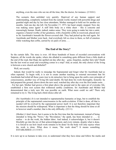anything, even the ones who see me all the time, like the doctor, for instance. (2/18/61)

The scenario then unfolded very quickly. Deprived of any human support and understanding, completely isolated from the outside world, treated with powerful drugs and guarded night and day by her close attendants, Mother managed to hold out for another six months. And one day she left. On November 17, 1973, her heart simply stopped. Now she was making sense again! A stiff little body on a white sheet – this is concrete and reassuringly human. Death, indeed, makes sense. They were going to make her into a saint, organize a funeral worthy of her greatness, with a beautiful coffin in rosewood, placed next to Sri Aurobindo's beneath the flower-covered slab. They had picked up the trail again. Sri Aurobindo and Mother were back. And everybody felt so close to them, so full of emotion while watching that coffin, carried by six pairs of arms. . . .

## **The End of the Story?**

So the curtain falls. The story is over. All those hundreds of hours of recorded conversations with Satprem, all the words she spoke, where she alluded to something quite different from a little death at the end of the road, that Hope she spelled out day after day – gone, forgotten, another fairy tale? Death has the last word as usual and everything comes to a stop? And, as usual, the only choice of the living is between a new church and disbelief?

Well, not exactly.

Indeed, that would be really to misjudge the Supramental and forget what Sri Aurobindo had so often repeated. To begin with, it is not to create another teaching or external movement that Sri Aurobindo had toiled all those years (nor to do miracles), but to bring upon the earth a new principle of consciousness, another way of living life (and death). He had done his work thoroughly, honestly: he had prepared the ground, drawn down the new seed, watched day after day over the first tender roots. . . . For her part, Mother had grown a first plant above the ground and in the open air of everyday life, established a firm root system that withstood earthly conditions. Sri Aurobindo and Mother had demonstrated that a truly new life was possible on earth. What more could we ask? There only remained to try it. The living had a third choice after all.

(Sri Aurobindo:) It is not intended to supramentalise humanity at large, but to establish the principle of the supramental consciousness in the earth-evolution. If that is done, all that is needed will be evolved by the supramental power itself. It is not therefore important that the mission should be widespread. What is important is that the thing should be done at all in however small a number; that is the only difficulty. (22:11)

(Mother:) I don't know, but it seems to be the first time that the instrument, instead of being intended to bring the "News," the "Revelation," the spark, has been intended to . . . to realize – to do the work, the hidden labor. And indeed, it acknowledges it, but it doesn't blissfully go into the joy of that acknowledgement, and every minute, despite what is done, it is forced to see how much work remains to be done! So the body will only rejoice when the work is done. What does it mean, "the work done"? It means something ESTABLISHED. (11/15/67)

It is now up to us humans to take over, to understand what they have done and follow the marks and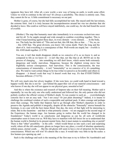signposts they have left. After all, a new world, a new way of being on earth, is worth some effort. Unless we wish to continue in the old way? It's always a possibility. The choice is entirely ours. That, they cannot do for us. A little commitment is necessary on our part.

Mother is gone, of course, but she had fully accomplished her task. She stayed until the last minute, the extreme limit. And it is truly because the incomprehension around her was too absolute that she decided to leave. She could as well have stayed indefinitely, one could say, for she had found the secret of overlife.

(Mother:) The step that humanity must take immediately is to overcome exclusivism once and for all. To be supple enough and wide enough to combine everything together. This is what I keep knocking against these days, in every domain – every domain. . . . In the body, too. The body has the habit of: "This and not that, this OR that, this or that. . . ." No, no, no – this AND that. The great division, you know: life versus death. That's the long and the short of it. And everything is a consequence of that. Well-words are stupid, but – overlife is life AND death together. (1/3/70)

You see, it isn't that death disappears (death as we conceive of it, as we know it, and as compared to life as we know it) – it isn't like that, not like that at all. BOTH are in the process of changing . . . into something we still don't know, which seems both extremely dangerous and totally marvelous. Dangerous, because the slightest wrong move has frightfully serious consequences. And marvelous. This is the consciousness, the true consciousness of immortality – it isn't "immortality" as we conceive of it; it's something else. We tend to want certain things to be true (what we perceive as favorable) and others to disappear – it doesn't work that way! It doesn't work that way. It's that EVERYTHING becomes different. (7/12/72)

We will very much miss her silvery laughter. If she were here, we could walk hand in hand toward a happier world. But she is not far – just behind the paper-thin veil of our material consciousness – and who knows if one day she will not appear to our physical gaze, unsealed at last?

And this is where the existence and research of Satprem take on their full meaning. Mother said it repeatedly: he was the only one who really understood and followed her, the only person who did not politely swallow the official version of Mother's death. To run counter to such an . . . overwhelmingly concrete fact is not an easy task: "Am I not crazy? Or just plain dreaming?" Indeed, it is insane to challenge the combined wisdom of such a respectable and spiritual pack. It takes courage and perhaps more than courage. The battle that Satprem had to go through after Mother's departure in order to preserve the Agenda and publish it integrally, despite all the obstacles "fraternally" strewn beneath his footsteps, is on a par with the best James Bond. One day, the story of that fight will be interesting to relate. But in the meantime – and that is what primarily counts – we are engaged in the second stage of the Experience: the human stage. Are humans going to realize that the world has changed in its foundations? Today's world is as cataclysmic and dangerous as can be; all sorts of worldwide catastrophes seem to loom over us. Will they have to manifest with full forces for us to understand that the human world is finished in its present mental form, that it must mutate to something else or perish? There is that "other" possibility – in the cells – which would thrust us into such a new and surprising world, where all the old cataclysmic ghosts no longer have any place, a world of absolute spontaneity, infinite peace, eternal youth. . . . But the old ghosts still seem to have a lot of attraction for the human consciousness. Which one will win? It's almost like a race. It would take very little to tip the scales: a few human eyes opening up, and . . .

Such is the challenge and such is the meaning of the first man to try to follow Sri Aurobindo's and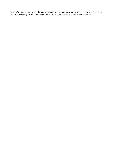Mother's footsteps in the cellular consciousness of a human body. All is still possible and open because that man is trying. Will we understand his words? Time is perhaps shorter than we think.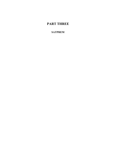# **PART THREE**

# **SATPREM**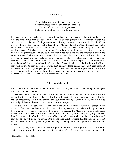## **Let Us Try . . .**

A mind absolved from life, made calm to know, A heart divorced from the blindness and the pang, The seal of tears, the bond of ignorance, He turned to find that wide world-failure's cause.<sup>[3](#page-50-0)</sup>

To effect evolution, we need to be in contact with our body. We are never in contact with our body – or if we are, it is always through a series of more or less distorting filters, a whole vertical structure we call ourselves: our thoughts, feelings, sensations and many reactions to life's stimuli. We "think" our body sick because the symptoms fit the description in Merck's Manual; we "feel" that such and such a pain indicates a worsening of the situation; we "fear" cancer and we are "afraid" of dying – in the end it's always death. But what does our body think? And how can we know what it thinks – or, rather, what it really goes through – as long as we think for it, feel for it, and fear the worst for it (always the worst, to be sure)? All that automatic, reactive buzz, all those "layers" of human habit which hem our body in an implacable web of ready-made truths and pre-concluded conclusions must stop interfering. They have to fall silent. The body must be left on its own in order to express its own possibilities, normally shrouded and appropriated by all the "higher" mental and vital activities. Left to itself, the body will reveal its secrets. If it is divine, built divinely, those divine traits must then manifest themselves. It's a risky game, perhaps mortal. But as we shall see, the basic postulate is correct: the body is divine. Left on its own, it shows it in an astonishing and miraculous way (we are just not used to these miracles, while for the body they are completely natural.)

#### **The Breakthrough**

This is how Satprem describes, in one of his most recent letters, the battle to break through those layers of mental habit that cover us.

"The New World is not an escape – it is a conquest. A difficult conquest, more difficult than the conquest of the Sahara desert or the ascent of Mount Everest = they are child's play. I am not in the habit of exaggerating. And if you cannot fight your battle now, right where you are, you will not be able to fight it later – it is now that you pass the test (or don't pass it).

"And it does become dangerous, for the New World will not tolerate one second of deception, not one grain of falsehood – otherwise you don't pass; it throws you out and it can be absolutely ruthless. In the old days, they spoke of 'dragons' and 'serpents' that guarded the "Treasure' – it is a picturesque translation of a real fact. You do not cheat with the dragon: if you are not pure, you get burned. Therefore, your battle of purity, of sincerity, of honesty, of true and divine simplicity, must be waged now, or else you will be thrown out, and the second time might be worse than the first. One does not approach these serious and grave things without danger – though it's only dangerous for insincerity and impurity.

". . . What, then, is this battle all about? It is quite simple. We know the general system of the world – rather, a few know it: those who have tried to get out of it. That System is cruel: there are implacable

<span id="page-50-0"></span><sup>3</sup>Sri Aurobindo, Savitri, p. 202.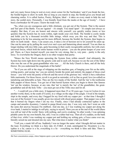and very nasty forces lying in wait at every street corner for the 'lawbreaker,' and if you break the law, the Sordid begins to show its teeth. But as long as you march in step, the Sordid gives you broad and charming smiles. It is called Justice, Poetry, Religion, Ideal – it takes on every mask to hide the real story, the sordid story. Personally, I was brutally freed from the masks at the age of twenty<sup>[4](#page-51-0)</sup>  $-$  I have been a lawbreaker for 40 years. I know the trade well.

"So, when you are courageous and a little obstinate, you get out of the System. That is the easiest and 'fun' part of the Battle. You are 'against' – it's simple. You stand 'apart' – it's simple (not always so simple). But then, if you are honest and sincere with yourself, you quickly realize (more or less quickly) that the System has its roots within, right inside your own flesh. The Sordid is cozily inside and holds you by a thousand invisible little strings, which sway you this way and that. This is beginning to be far less amusing and far more difficult, because the Sordid, the System, then begins to show its teeth inside – there, I can assure you, it takes a lot of heroism not to let yourself be eaten up. One can be eaten up by pulling the wool over one's eyes and fantasizing about oneself. You are then no longer dealing with nice little cops, quite becoming in their easily recognizable uniform, but with cruel, universal forces, which hold the entire human world in prison – you are the prime keeper of your own jail. There, as I have learned myself, you must be very strong, that is, very pure – purity is the only force. To overwhelm the Dragon, there is no other weapon than purity.

"Hence the New World means uprooting the System from within oneself. And ultimately, the System has roots right down into the genetic code and in each cell, because we are the son of the father who was the son of the great-grandfather who was . . . All the holy Church is there, and all the holy Horror. Do you understand the magnitude of the battle?

"So if you are still at the stage of whipping out the machine gun, of banging your fist on the table, writing poetry, and saying 'me,' you are entirely beside the point and entirely the puppet of those cruel forces – you will write the poetry of Revolt and the novel of the glorious 'me,' which is but a ridiculous little marionette. For those forces, revolt is as good as surrender, evil as fine as good, love (so-called) as tantalizing and delectable as hate. They are the two masks of the Sordid. And the 'me' is the toothsome little puppet of those forces. You get out of that horrid System when you begin to throw that famous 'me' out the window, because, at any rate, that 'me' is merely the 'me' of the grandfather, the greatgrandfather and all the holy Tribe – you must get out of the Tribe once and for all.

". . . I could tell you a little story. It happened more than 25 or 30 years ago. I was in Ceylon (it was another world, then), in the south of Ceylon, in a village on the edge of the jungle. I lived in the temple, slept in the temple, and every day I begged for my food with my copper pot – at that time I thought I was out of the System! I was usually given rice mixed with sliced green pepper. That pepper was so hot that it burned my fingers when I ate my rice. Finally, since I had already contracted typhus in the camps and amoebic dysentery, I started to purge blood every day. I was very sick, but I went on with the same diet anyway because I'm stubborn. And one day, as I was washing my copper pot along the river bank, I started to indulge in self-pity, saying to myself, 'Here you are at the end of the world (there was still an 'end of the world,' then), with nothing, and you're croaking.' In other words, I was spinning pitiable yarns for my own benefit, but, still, I was in a rather bad way. Then all of a sudden, on the bank of that river, while I was washing my copper pot and holding my aching guts, a Force came over me, literally seized me and shouted into my ears, 'But what does it matter what you think!'

"I tell you, a mask fell off me. Suddenly I was no longer the same: what I thought did not matter in the least. Everything we think is a fairy tale; it's FAKE. A total, unmitigated lie. Dysentery is a lie, typhus is a lie, cancer is a lie, everything is a lie – everything we think is false and fake. There is SOMETHING ELSE.

<span id="page-51-0"></span><sup>4</sup>In Nazi concentration camps, where Satprem spent a year and a half for belonging to the French Resistance.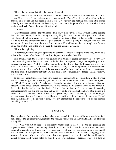"This is the first mask that falls: the mask of the mind.

"Then there is a second mask: the mask of the wonderful and eternal sentiments that fill human beings. This one is a far more deceptive and tougher mask: I 'love,' I 'feel' – oh, all that holy tribe of passions and desires and hurt feelings and 'I feel . . .'! Yet they are nothing but sordid little strings pulled by the same cruel forces. So there, too, you must reach the point of the cry: 'But what does it matter what I feel!' And a whole set of theatrics falls.

#### "Not easy.

"Once that second mask – the vital mask – falls off, you are very near what I would call the 'burning Zero.' In other words, there is nothing left; everything is broken, unmasked – you are naked and ridiculous and nothing whatsoever. Then it begins burning inside. That is, it begins to BE – something that is neither the grandfather nor the great-grandfather, neither poetry nor religion nor ideal nor anything of the whole damn sordid story. Something that IS – without words, pure, simple as a fire or a child. You are the child of the fire. You are the burning nothing. You ARE.

"This is the beginning.

"Afterwards, you have to go on uprooting the other falsehoods in the depths of the body, in the cells – that is the last part of the battle." (letter from Satprem to a brother, June 1983)

This breakthrough, this descent to the cellular level, takes, of course, several years – a very short time considering the millennia of human habits involved. It requires courage, but especially a lot of patience and endurance. And it is readily done in the midst of everyday life. Indeed, one must live a normal life to do it, for it is life itself that provides at every instant the opportunity to measure one's own progress, the degree of stillness of the various parts of the being: as long as there are reactions to one thing or another, it means that that particular point is not conquered, not silenced – EVERYTHING must come to a stop.

In Satprem's case, this descent must have taken place unknown to all (except him!), while Mother was still in her body, while he was engaged in a very "external" and fierce battle to publish the Agenda. In 1982, all 13 volumes of the Agenda having been duly published down to the last comma, Satprem suddenly found himself before a terrible wall. He had finished all his external work: he had written all the books that he had to, the hundreds of letters that he had to; he had extended unceasing encouragement to this one and that one, and his sweet smile, which dispelled all our little clouds in a second. What was there left to do? A man, in a physical body, must do something. The fire burning in his heart was telling him that surely he could not go on writing books and letters till doomsday. He had done it, and it had become another routine, obviously pleasant for the recipients – but he had perhaps something better to do?

## **Let Us Try**

Thus, gradually, from within, from that rather strange condition of inner stillness in which he lived came the need to go farther down, right into the body, as Mother and Sri Aurobindo had done. This was in May 1982.

". . . What was just an 'idea' or a conjecture (transformation) has become the one pressing and imperative need. I don't know anything about it; all I know is that there is an imperative, inevitable, irreversible aspiration, as it were, and it has become a sort of physical necessity, a groping need, and I will not be able to do anything else. I have no idea of the direction to take, or where I am going, but in a sense it does not really matter; what matters is that one-pointed concentration and the unfolding of an almost physical need, which holds or must hold its own ineluctable direction. There is a kind of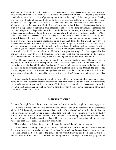awakening of the aspiration in the physical consciousness, and it moves according to its own unknown laws (unknown to me). All I know is that I want to live exclusively in that. All I mentally and almost physically know is the necessity of producing one first earthly sample of the new species – of taking one first step, of materializing one first possibility as a concrete realizable hope for those other human beings who have the potential. The earth needs a concrete hope and a clear sign of its next course – so all can say, even if they cannot yet be it: this is where we are going. It is the only obvious thing to do, even if it is impossible. What would have appeared to me before as a kind of unbounded ambition has become a simple and indisputable fact. I don't care in the least about being the 'first sample,' but it has to take place somewhere on the earth, in a first human who will put his body at the disposal of . . . 'that.' I don't care whether I succeed or not, and in a way it is none of my business; my business is to try to the utmost. It is possible, even probable, that other unknown people are attempting to do the same thing in their own way, with a different vocabulary or in a different form, but the evolutionary drive is ineluctable and imperative, and it seizes all those who are willing to put themselves 'at the disposal of.' Whatever may happen to others, I feel impelled to follow this path, without the least 'personal' overtone – actually, you no longer have any idea where the 'I' is in that groping darkness, where your only hope is the divine Hand, if it cares to take mine. The only new capital and simple fact that happened is that one day (it was May 14), I felt something saying yes. That and the aspiration in the physical consciousness are the only two driving forces in something that looks otherwise totally dark.

". . . The appearance of a first sample of the divine species on earth is ineluctable. And it can be anyone; the main thing is that our aspiration should carry that 'anyone' to his divine destination. The enterprise is certain. By withdrawing, Mother and Sri Aurobindo wanted to leave to the human being the grace or favor of taking the first step of his own evolution and passing through the gates They opened. Satprem is just one aspirant among others, and with or without him the work will be done and a first terrestrial sample will inevitably be born to the divine life." (letter from Satprem to Luc, May 1982)

Simultaneously, Satprem decided to withdraw from public view, along with his companion, Sujata, not to enjoy a well-deserved peace and realization away from worldly life, but to devote himself more exclusively to that ultimate battle in the roots of life. A total concentration was necessary, for, at that level, the least mistake can be fatal; no "slip" is permitted when it comes to the functioning of the cells – we depend too much on them.

#### **The Double Mooring**

From that "strategic" retreat, he sent some rare, essential news about the new phase he was engaged in:

"I want to tell you a 'dream' I had some time ago, which is one of the landmarks in the story since Mother left. It is actually the continuation and conclusion of that vision I had immediately after Mother left, in which I saw a great crevice in the desert and me lying flat over it (with my bicycle on my back!) to make a bridge or join with the other side of the crevice. I nearly completely missed the vision I am about to tell you, but I had an experience that suddenly made me realize the meaning and importance of what I had seen. These are not visions; they are actions.

"This is what I noted down in my notebook under the date of March 21 (spring equinox):

"I remember that two nights ago, that is, during the night of the 18th to the 19th, I saw something that now makes sense: I was aboard a rather large boat (not a sailboat, I don't think), and we were about to dock and moor the boat alongside the quay. The boat was still moving and I could see the big steel cable moored to a bitt, but that cable was unwinding, and the boat began to leave the quay without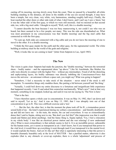casting off its mooring, moving slowly away from the coast. Then we passed by a beautiful, all-white building standing in the distance, all alone in the middle of the sea (on second thought, it may have been a temple, but very clean, very white, very harmonious, standing roughly half-way). Finally, the boat reached the other shore or other side (side of what, I don't know, and I can't say I saw a 'shore,' but it was the 'other side' of the first quay, to which we were still moored). And we moored on that second side, too, with a big steel cable. I thought to myself, 'Well, well, this is a double mooring.'

"I cannot describe the boat because I was too busy maneuvering it, nor could I see who was on board, but there seemed to be a few people, not many. This was the side one disembarked on. What was most prominent in my consciousness was that 'double mooring' and the big steel cable that connected us with the first quay.

"To sum up, both sides are connected with a big cable and you do not leave the mooring of one to travel to the other. It is a double mooring.

"I think the first quay stands for the earth and the other quay, for the supramental world. The white building at midway must be the world of the gods and religions.

"Well, it looks like we are coming to land." (letter from Satprem to Luc, April 1983)

#### **The New**

The vision is quite clear: Satprem had made the junction, the "double mooring," between the terrestrial shore – bodily matter – and the supramental shore "up above." Like Sri Aurobindo, like Mother, his cells were directly in contact with the higher Fire – without any intermediary. Freed of all the distorting and asphyxiating layers, his bodily substance was directly imbibing the Consciousness-Force that moves the universe – an astronaut without a space suit, you might say! What was going to happen?

"Somehow, I feel a necessity to take stock of the situation – never mind if the stock is still incomplete. To mentalize things only muddies them, like putting a lid between yourself and 'the thing.'

"Actually, I could boil down my entire discourse to a fortuitous and insignificant little experience that happened recently. I met X and asked him somewhat mechanically, 'What's new?' And at that very moment, something in me stopped, looked up, and said (it was not me saying it), 'The New is here.'

"That is the fact.

"I have therefore spent a whole year in concentration. It was on May 14, 1982, that I sat down and said to myself, 'Let us try.' And it was on May 13, 1983, that I was abruptly torn out of that concentration to go to R. This was a difficult exercise and a 'test.'

" . . . But the fact, the other fact, is that the moment the plane took off for R., a tremendous power seized hold of me – the kind I experienced during my solitary concentrations – and literally doubled me up and did not leave me – in the train, the streets, the car and everywhere. It was so extraordinarily dense that I said to Sujata, sitting next to me, 'But don't you feel this?' (the impression was that it could smash and flatten just about anything). And the funny thing is, Sujata replied, 'Yes, I feel a relaxation in my whole body.' I was like an electrical power station and she was relaxing! (I now understand why.) What is most extraordinary is that nobody seems to feel it. It is an incredible power, unbearable for the human norm, yet it seems as transparent as air. I don't know, but if you transposed that power to the vital level, it would blow up everything it went through (and if you transposed it to the mental level, it would explode the brain). And yet it's like air! But what is supremely interesting is that this power is bearable (humanly bearable) only at the level of MATTER – but a purified matter, otherwise it also explodes (that is, any obstacle or cover-up explodes; there is a whole 'adjustment' and process of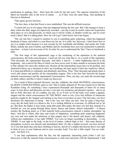purification to undergo, first – that's been the work for the last year). The supreme intensities of the Spirit are bearable only at the level of matter . . . as if they were the same thing. And anything in between is falsehood.

"That opens up new horizons.

"The fact, then, is that that Power is now established. This was the difficult exercise.

"I cannot tell you in two pages what has happened during the last year. But I did manage to keep a diary where the daily stages are objectively recorded – one day it may be useful, unless the Experience takes place in vivo and physically, in which case it will be visible, as Mother would say, and we won't need a 'diary'! But it is taking place. How far will it go? I don't know, but it has begun.

"The one last fact I wanted to mention to you is something quite surprising, which has happened hundreds of times, and which is a real discovery for me. It is really 'my' discovery. I don't know how to say it in simple terms because it is new (except for Sri Aurobindo and Mother, and maybe the Vedic Rishis, nobody has seen it before, and Mother and Sri Aurobindo have not even mentioned it explicitly anywhere – at least I am not aware of it). In order for you to understand the 'fact,' I have to backtrack a little:

"The first stage of this supramental yoga is the awakening of the aspiration in the material consciousness, the body-consciousness. I need not tell you what that is. As a result of this aspiration, 'That descends, the supramental descends. And that's a marvel – a rather frightening marvel at the beginning – but a marvel the likes of which you have never seen! It takes months to accustom the body to that cataract (it's more like molten ore), because all the intermediate layers have to be purified. Any obstruction blows up or threatens to blow up everything; the least speck of dust has 'explosive' effects. It is long and difficult to withstand, and absolutely marvelous. Thus, 'That' descends and grinds (does it ever!) and churns and purifies all the intermediate magma. This is the first 'line' between the human material consciousness and the supramental Consciousness. Then, one day, you enter the second stage (or third, rather), and this is where I made my discovery.

"As a result of those repeated 'descents,' one day, suddenly, the whole MATERIAL consciousness, the BODY-CONSCIOUSNESS, starts to rise! This is totally unheard of! We have heard of (or felt) the Kundalini rising. It's something I have experienced thousands and thousands of times for so many years. It rises above and blossoms out into a vast and very luminous and pleasant expanse – and so on and so forth. But here, all of a sudden, one day, it's as if (not 'as if') the body were under a gigantic magnet and the whole consciousness OF THE BODY starts to rise. (You feel millions of minuscule particles caught by the 'magnet' and starting to rise from everywhere at once.) The first time, you have absolutely the impression of dying – this is the 'way out' when one dies. And for quite a long time, every day the body feels it is about to die. It is a feeling difficult to overcome; it's difficult not to 'let go.' But then, the higher it rises (truly, peak after peak after peak), the more you feel that, instead of a rarefied air, you are going through dense layers, denser and denser, almost unbearable – it almost reaches the breaking point, as if that material body-consciousness entered a molten atmosphere 'up there.' And this is where, after days and weeks of 'adaptation,' something quite surprising happened: you rose and rose under the attraction of that magnet and it felt denser and denser, and suddenly, without any explanation, it was right THERE. You were no longer ascending or descending – it was THERE. It was right in the body, at the level of matter, without high or low – that same density of atmosphere or power was directly and immediately there. It's like a sudden reversal: you have arrived. As if you had spent days and days climbing to heaven, and all of a sudden that heaven above was right in front of you, in your bedroom and in your everyday body! You feel a little stupid. You are wideeyed – but there it is.

"I can find explanations after the fact, but the supremely interesting point (what I call 'my' discovery) is that the material body-consciousness is what rises and joins with the Supramental. I had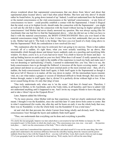always wondered about that supramental consciousness that one draws from 'above' and about that supramental plane located 'above,' and I had often asked Mother, 'But how and why above? It should rather be found below, by going down instead of up.' Indeed, I could not understand how the Kundalini or the mental consciousness or the vital consciousness or the 'spiritual' consciousness – or any form of consciousness we know – could possibly establish a contact with the Supramental. I found it illogical that the mind, even at its highest levels, should make the connection with the Supramental – you might as well ask the old fish to make the connection with the lizard without leaving its higher spiritual fish consciousness! And Mother had never clearly answered my question. She was always saying (like Sri Aurobindo) that one had first to find the Supramental above – what she did not say is that you have to find it with the material consciousness, the BODY-CONSCIOUSNESS! Have you ever heard of the material consciousness rising! Well, it is a fact: it rises. You even feel, underneath, that you are about to die. Mother had said it: 'The body is the bridge.' But have you ever heard of a body rising above to find the Supramental? Well, the contradiction is now resolved (for me).<sup>[5](#page-56-0)</sup>

"My explanation after the fact may be awkward, but I am going to try anyway. There is that sudden reversal: all of a sudden, it's right there; what you were actually searching for up above, that interminable climb through denser and denser layers suddenly ends on a puzzling and mystifying little window. It's there; you're in it, as if you had never risen! You climb to heaven for hours and days – to end up finding heaven on earth (and on your two feet)! What does it all mean? (I really opened my eyes wide; I mean, I opened my eyes right in the middle of the experience to touch my body and make sure I was not dreaming or 'spiritualizing.') Finally, I seemed to understand this: you 'rise,' that is to say, the body-consciousness rises to go through the fishbowl; it traverses all the layers covering matter – and it gets denser and denser as you get near the most external peels or the most external crust – then, all of a sudden, the body-consciousness finds itself again; it finds itself again in the Supramental as though it had never left it! Heaven is in matter, all the way down in matter. All the intermediate layers (mental, vital, etc.) are what makes a gangue or cocoon of falsehood difficult to break through. But once that is broken through, matter is itself again, that is, divine! It is perfectly divine without high or low. It has never ceased being divine; it's only that 'plug' of men

"One truly understands only when one is 'on the scene.' And then it's brand new. Therefore, I apologize to Mother, to Sri Aurobindo, and to the Vedic rishis, in all humility; and I have to admit I did not understand anything until it happened to me. And I invite my exegete friends to leave the page 372 and to take a 'direct' trip on the Oyapock River."

Later, Satprem added the following:

"To be more precise, when Mother told me that experience, I had not clearly understood what she meant. I thought it was the Kundalini, since she said that later 'it' came down from center to center. But in what I experienced (for weeks, day after day and for hours on end), it was the whole body that rose; there was no 'Kundalini,' or else the whole body was the Kundalini! It was a total mass."

tal and vital dirt that prevents the whole Current from being wholly and divinely itself. The bodyconsciousness 'rises' through the layers and suddenly finds itself again!

"Thus, one understands that everything can be done and everything is possible.

<span id="page-56-0"></span><sup>5</sup>To clarify this last paragraph, Satprem was later asked about a conversation he had with Mother on January 24, 1961 (excerpted in part 2 of this book), in which she clearly says, "The consciousness rose, rose, rose – rose until . . . the junction took place. . . . And it was the consciousness of the body." This is what he replied:

<sup>&</sup>quot;Yes, later, much later I remembered that experience of Mother's and asked myself if it was not the same thing. But what people don't understand is the enormous difference between the schoolboy hearing about the Amazon and the person suddenly thrust face to face with the Oyapock River – you may well tell him, 'Look, that's exactly what you read on page 372 of your geography book'; he will shake his head and say, 'Well, maybe, but it's still not the same thing!'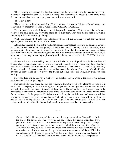"This is exactly my vision of the 'double mooring': you do not leave the earthly, material mooring to moor to the supramental quay. It's a double mooring. The 'journey' is the crossing of the layers. Once they are crossed, there is only one quay and one earth – but a true earth!

#### "The 'New' is here!

"There remains to do a long and slow  $(?)$  and thorough cleansing of all the cells and atoms – so 'That' can flow unobstructed. Then EVERYTHING WILL BE POSSIBLE.

"But the passage is made. It is open. And it is open for everybody. Mother's 'web' is an absolute reality: if one point opens up, everything opens up for everybody. They have made a hole in the web. I can testify to it. Who wants to go through?

"And I understand why Sujata felt a 'relaxation' when I felt like a nuclear reactor! She was herself again!" (letter from Satprem to Luc, April 1983)

Satprem had reached the site of the work. At that fundamental level, there was no distance, no time, no distinction between bodies. Everything was ONE. He stood in the very heart of the world, at the tenuous origin where things are born. And he was also in the midst of a formidable energy, terrifying for a little human body – the very Energy of creation. One cannot even imagine what it is. But there, at least, one was no longer dreaming or pleasantly spiritualizing; one was right before THE Thing, and no nonsense.

The real miracle, the astonishing marvel is that this should be at all possible at the human level of things, which always appears to us so frail and impotent. Actually, it is all those muddy layers that hold us in their heavy shackles of impossibility and weakness! On its own, matter is all-powerful; it is totally divine and made in the very image of the energy that created the universe. Only a sort of sticky illusion prevents us from realizing it – let us wipe the illusion out of our bodies and lives, and we will be before Reality.

But what does one do exactly at that level of absolute power. What is the task of the pioneer confronted with the "original egg"?

Two years had passed since Satprem had withdrawn from the world to be closer to the world. We were now in the spring of 1984. A meeting was arranged without any guarantee that he would be able to speak of his work. One does not "speak" of these things. Throughout the ages, those who have truly contributed to the earth's welfare in the silence of their heart have done so without words; actions speak for themselves, in the language of life. What is at stake here, though, is human evolution, a possibility opened in principle for every human being. And Satprem has always been willing to share his experiences, in the hope that a word here or there might help someone grasp the truth of his or her being, to seize a little of the Reality hidden beneath the appearance of the outer personality.

\* \* \*

(Sri Aurobindo:) No one is a god, but each man has a god within him. To manifest him is the aim of the divine life. That everyone can do. I admit that certain individuals have greater or lesser capacities. . . . But whatever the capacity, if once God places his finger upon a man and his spirit awakes, greater or lesser and all the rest make little difference. The difficulties may be more, it may take more time, what is manifested may not be the same – but even this is not certain. The god within takes no account of all these difficulties and deficiencies; he forces his way out. Were there few defects in my mind and heart and life and body? Few difficulties? Did it not take time? Did God hammer at me sparingly –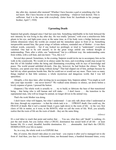day after day, moment after moment? Whether I have become a god or something else I do not know. But I have become or am becoming something – whatever God desired. This is sufficient. And it is the same with everybody. (letter from Sri Aurobindo to his younger brother, April 7, 1920)

# **Uprooting Death**

Satprem had greatly changed since I had last seen him. Something indefinable in his look betrayed the new intensity he was living in day after day. He was totally "present," with even a mischievous little gleam in his eye, and light-years away at the same time, as if his body were a bridge between some infinite dimension where the worlds are created and the immediate space in front of us. Something inexpressible around him, like great wings of infinite softness, reminded one of Mother – it was there without words, concretely – but if one looked too probingly or tried to "understand," everything vanished. One had to be soft oneself, to let the great wings enfold one without thought or understanding. Then, after a while, one "understood," but in a different way: the understanding came from within, with a soft heat, and one knew: "Yes, this is it."

Several days passed. Sometimes, in the evening, Satprem would invite me to accompany him on his walk in the countryside. We would sit in silence under the trees, and everything would stop except for that life of life kindled within the being and illuminating everything with its rays of knowledge and peace. The world around unfolded divinely. One day, however, he had broken the silence: "In this business, you spend your time dying without dying!" That had slipped out of him, perhaps because he had felt my silent questions beside him. But he could not or would not say more. There were so many things implied in that little sentence, a whole mysterious and dangerous world, that I was left speechless.

Abruptly, a few days later, after inviting me to accompany him, Satprem added, "You might as well take your tape recorder – one never knows!" We walked some distance in silence, sat down before a lovely expanse of green. I pressed the button:

(Satprem:) The whole work is actually to . . . try to build, to fabricate the base of that transitional being – that being who is still human and will make . . . I don't know . . . the transition to the supramental man, who will no longer be animal, no longer driven in the animal way.

That's the work Mother was doing.

I don't know what will happen, but what I understand – I can only talk about what I understand at this time, through my experience – is that the whole task is to . . . UPROOT death. One could say, the FRAUD of death. But it isn't a mental fraud; it goes right down to the roots of life – to the very first claws of life in matter, as it were, to the ROOTS, what we call the roots of life. Well, you actually realize that the roots of life are the roots of death – they are the same thing.

*(silence)*

It's a real labor to reach that point and realize that . . . You see, what they call "death" is nothing; it's just the end result, but you realize what a CRUEL domination has seized hold of all life – at least human life. It's a cruel, dreadful, horrible domination. It's . . . abominable. And that's the CRUEL DOMINATION over life in matter.

So, in a way, the whole work is to EXPOSE that.

But, of course, this doesn't take place in your head – you expose it after you've managed not to die from it! And then, you face it a thousand times, ten thousand times, a hundred thousand times, every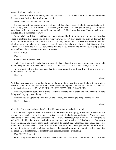second, for hours, and every day.

That's what the work is all about, you see, in a way to . . . EXPOSE THE FRAUD, this falsehood that wants us to believe that it rules, that it is life.

Death wants us to believe that it is life.

But the moment you start uprooting the fraud (all this takes place in the body, you understand; it's in the body), well, you also uproot . . . it makes you believe: "You see, you're dying! You're dying! Your heart will stop and your brain will give out and . . . " That's what happens. You are made to see this, feel this, in thousands of ways.

So the whole work is to . . . (Of course, you can't possibly do it, do this work, so long as the other Force is not there. How could you do that with your own forces? How could you even go down at that level without the other Power?) So it's like a . . . battle, I don't know, between that cruel domination which wants you to believe – and has very powerful means to make you believe! – that it is not at all an illusion, that it rules and that . . . Look, this is life, and if you start fooling with it, you're simply going to croak! It can be very convincing when it wants to.

But it's a fraud!

It's a lie.

What we call life is DEATH!

And it's as though the body had millions of fibers planted in an old evolutionary soil, an old evolutionary soil that is human, that is – well, it's "life," and if you pull out the roots, it'll just die!

So you must pull out the roots and then turn them around toward true life – true life, which is without death – PURE life.

That's it.

*(silence)*

And then, you see, every time that Power of the new life comes, the whole body is thrown into a dreadful fright! Well, my FAN-TAS-TIC discovery (Satprem pounds the ground with his fist), you see, my fantastic discovery is: WHAT IS AFRAID – IT'S DEATH THAT IS AFRAID!

It's death, inside the body, that is afraid – and tries to scare you to death and convince you: "You're dying, you're dying, you're dying. . . ."

It's death you are uprooting – not life. On the contrary, you're trying to bring in some real life.

That's  $it$  – that's it.

*(silence)*

When that Power comes down, there's a dreadful squirming in the body – mortal.

But the day I began to discover it was death that was afraid of dying, it was such a revelation for me, such a tremendous help. But this has to take place in the body, you understand. When your heart starts going "thump, thump" and gets stuck and . . . Well, afterwards, when it realizes – when it persists and realizes it didn't die, or when its brain is about to burst and it realizes it didn't burst. . . . But it takes many instances, you know, many such operations to uproot that falsehood, that fraud, that cruel domination. Because death is merely the end, but before getting there, you see all the horrors, the abominations, the suggestions: all that dominates, all that cruel squirming that dominates life (pounding the ground), dominates men, dominates human consciousnesses – everything.

It's a CRUEL domination.

So the body must begin to realize that what dominates is the Lord, what dominates is Life, not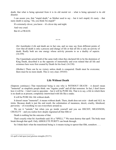death, that what is being uprooted from it is its old mortal rot – what is being uprooted is its old disaster.

I can assure you, that "stupid death," as Mother used to say – but it isn't stupid; it's nasty – that nasty death is saying, "Ah, you think I'm stupid!"

It's extremely clever, you know – it's clever day and night.

And very cruel.

But it's a FRAUD.

(Sri Aurobindo:) Life and death are in fact one, and we may say from different points of view that all death is only a process and change of life or that all life is only an activity of death. Really both are one energy whose activity presents to us a duality of aspects. (16:359)

\* \* \*

The Upanishads seized hold of the same truth when they declared life to be the dominion of King Death, described it as the opposite of immortality and even related that all life and existence here were first created by Death for his food. (16:338)

(Mother:) There can be no victory unless death is conquered. Death must be overcome; there must be no more death. This is very clear. (9/8/65)

#### **Life Without Death**

(Satprem continues:) That transitional being is one who is WITHOUT DEATH – it doesn't mean "immortal" as simplistic people think: one "regains youth" and all that nonsense. In fact, I don't know how it will be – I don't want to speculate – but it will be PURE life. That is to say, a life in which there is no death as at present, completely intertwined with life like a snake.

It will be PURE life: life without death.

It doesn't mean "immortal"; it means without death. There, death does not exist – death and ALL its tricks. Because death is just the end result, the culmination of meanness, deceit, cruelty, falsehood, perversity – of everything we see everywhere around us.

We see it "outside," but when you go inside yourself and you see DECEIT, MEANNESS, CRUELTY – and you realize how deeply ingrained all that filth is!

Death is nothing but the outcome of that.

That's exactly what Sri Aurobindo said: It's a "SPELL."<sup>[6](#page-60-0)</sup> We must destroy that spell. The body must break through that spell. Only ABSOLUTE PURITY can break through.

So I think that's what the transitional being is: it means trying to uproot that filth, somehow....

<span id="page-60-0"></span><sup>6</sup>A spell is laid upon [our] glorious strengths (29:371)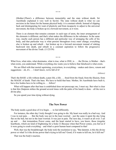(Mother:)There's a difference between immortality and the state without death. Sri Aurobindo explained it very well in Savitri. The state without death is what we can envision in the future for the human physical body: it is constant rebirth. Instead of slipping back and disintegrating for want of plasticity and from incapacity to adjust to the universal movement, the body is broken up in a forward movement, as it were.

There is an element that remains constant: in each type of atom, the inner arrangement of the elements is different, and that's what makes the difference in the substance. In the same way, maybe each person has a different and particular way of arranging the cells of his body, and that particular way is what persists throughout every outer change; everything else is broken up and rebuilt – but broken up in a forward movement instead of sinking backward into death, and rebuilt in a constant aspiration to follow the progressive movement of the divine Truth. (11/25/59)

\* \* \*

What lives, what rules, what dominates, what is true, what is ONE, is . . . the Divine, is Mother – that's what exists, you understand. While everything else wants you to believe that falsehood is what exists.

We are filled with that mortal squirming, everywhere, in everything – snakes and claws, venom and suggestions – oh, it's  $\dots$  I don't know, we're full of it!

*(silence)*

That's the BASE: a life without death, a pure life, a life . . . freed from the fraud, from the illusion, from the MAGIC of death. That's the base. We have to build that base. Mother, Sri Aurobindo have built it, but a few bodies have to be willing to . . . follow!

What will happen after that base is established does not preoccupy me, I must say. But what is clear is that this (Satprem strikes the ground several times with the palm of his hand) is done – all the rest is divine play.

So you spend your time dying without dying.

#### **The New Power**

The body needs a good dose of it to begin . . . to feel differently.

For instance, the other day I truly thought I was going to die. My heart was really in a bad way. And I was in real pain. . . . But the body was not in the least worried – just the same it spent the day lying flat on the bed, but not in the least worried. It was just in pain. The next day, it wasn't at all over. I sat up and . . . that tremendous Power came, and the heart started to have, you know, those irregular heartbeats, which are kind of frightening for a body (!) Because when that Power comes, you feel as if it were going to crush everything – and what's a poor human heart compared to that!

Well, that was the breakthrough: the body took the resolution to say, "But dammit, is this the divine power or what! Is it the divine power that's trying to kill me? Good, if it wants to kill me, let it kill me!"

That was the body's reaction.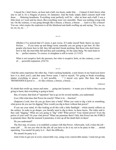I stayed for, I don't know, an hour and a half, two hours, under that . . . Cataract (I don't know what else to call it; it's a Niagara of power, it's fantastic). And the body simply didn't concern itself with those . . . fluttering heartbeats. Everything went perfectly well for – after an hour and a half, I was a little tired, so I went and lay down. But everything went very smoothly. There was nothing wrong with me. On the contrary, it was going through like a breeze, a breeze, a breeze . . . And it is like a breeze! You see, what creates the explosion is all the falsehood and death swelling up and saying, "No, no, no, no, no, no, no. . . ."

\* \* \*

(Mother:) I've noticed that if I resist, it gets worse. If I make myself fluid, there's no more friction. . . . If you tense up and things resist, naturally you are going to get hurt. It's like people who know how to fall: they fall and don't break anything. But those who don't know how to fall, the least little fall and they pull something. It's the same thing. We must learn to be . . . perfect oneness. To correct, to straighten is still to resist. (1/11/67)

What is not receptive feels the pressure, but what is receptive feels, on the contrary, a sort of . . . powerful expansion. (5/6/72)

\* \* \*

I had the same experience the other day. I had a racking headache, a real misery in my head (you know how it is, don't you?), and that same Power came. I said to myself, "It's going to break everything, shatter everything to pieces – it isn't possible.  $\ldots$  " I stayed very quiet. But then, that same TREMENDOUS power is . . . it's like a breeze, a breeze, a breeze. . . .

*(silence)*

It's death that swells up, tenses and starts . . . going into hysterics – it wants you to believe that you are going to burst, that everything is going to burst.

But, of course, that kind of "operation" has to go on for several months, you understand.

(Luc:) But what does that Power do exactly? What is its . . function?

(Satprem:) Look, how do you go down into a body? When you want to dig a hole in something, what power do you use for digging? How would you dig in there without that power?

If you use your mind, it's like looking at all this with a little flashlight – which merely reflects on the surface. In order to go deeper, you literally need to dig in there, in those layers. The rishis said it: they said "digging." What are you going to "dig" with? What power? Your mental power? Even the power of your soul? Or your vital power? What can penetrate there? Only that Power has the FORCE to penetrate there. But the moment it penetrates, it stirs up all the death that's in there!

Do you understand?

The first step, of course, is to establish a contact with that Power. Afterwards, well, it does the job – some job! . . . It's not you who do the job; all you have to do is try not to be party to that . . . mortal squirming. You mustn't be party to it – that's the difficulty.

We mustn't be party to it.

And it tries to get you in every conceivable way, using every conceivable means. I need not go into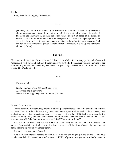details. . . .

Well, that's some "digging," I assure you.

\* \* \*

(Mother:) As a result of that intensity of aspiration [in the body], I have a very clear and almost constant perception of the extent to which the material substance is made of falsehood and ignorance. As soon as the consciousness is quiet, at peace, in the luminous vision, it's as if all the falsehood came from everywhere. It isn't an active perception in the sense that I do not "try" to see: things come spontaneously before the consciousness. And you realize what tremendous power of Truth-Energy is necessary to clear up and transform all that! (2/26/64)

#### **The Spell**

Oh, now I understand the "process" – well, I listened to Mother for so many years, and of course I "understand" with my head, but now I understand with my body. I can assure you, it's one thing to see the fraud in your head and something else to see it in your body – to become aware of the roots of that cruelty. Oh, it's abominable!

\* \* \*

(Sri Aurobindo:)

On dim confines where Life and Matter meet . . . a weird and pigmy world Where this unhappy magic had its source. (28:136)

\* \* \*

Humans do not realize.

On the contrary, they spin, they endlessly spin all possible threads so as to be bound hand and foot by death. They spin them in every way: with their newspapers, their television, their science, their books, their novels, their adventures, their . . . They spin . . . truly, they SPIN death around them for the sake of spinning – they spin and spin endlessly. So afterwards, when you want to undo all that . . . you must ask yourself, "My God, but what are they doing! What are they doing?"

Because all the means they use are PART of death! They are all the TRICKS of death: their surgery, their medicine, their physics, their science – they are all the tricks of death, the inventions of death, tricks to tie you up even more tightly.

Even their cures are part of death!

And they have frightful reasons on their side: "You see, you're going to die of this." They have certainty on their side, countless proofs – death is FULL of proofs. And you are absolutely under its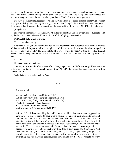control: even if you have some faith in your heart and your head, come a crucial moment, well, you're scared out of your wits and you go to the phone and call the doctor. And then go and acknowledge that you are wrong; then go and try to convince your body: "Look, this is not what you think!"

But they go on spinning, regardless. And so the world is in a colossal, dreadful spider web – which they spin foolishly, you see, day after day, with all their "things": their television, their newspapers, their novels, their literature, their poetry, their philosophy. Everything is an ENORMOUS spider web.

(long silence)

Six or seven months ago, I don't know, when for the first time I suddenly realized – but realized in my body, you understand – that it's death that is afraid of dying, it was such a . . .

It's DEATH that's afraid of dying.

Yes, I remember exactly.

And that's where you understand, you realize that Mother and Sri Aurobindo have seen all, realized all. But to realize it in your mind isn't enough. I recall that phrase of Sri Aurobindo where he speaks of the "deep falsity of Death." The deep falsity of Death – well, it's "deep" within the body's tissues! That's where it's deep. But it's FALSE. It is a FRAUD. It is a  $LIE - a$  lie with millions of proofs on its side.

It is a lie.

The deep falsity of Death. . . .

You see, Sri Aurobindo often speaks of this "magic spell" or this "deformation spell" (at least four or five times in Savitri – it had struck me each time). "Spell" – he repeats the word three times or four times in Savitri.

Well, that's what it is. It's really a "spell."

\* \* \*

(Sri Aurobindo:)

Although God made the world for his delight, An ignorant Power took charge and seemed his Will And Death's deep falsity has mastered Life. (29:629) The body's tissues thrill apotheosised, Its cells sustain bright metamorphosis . . . As if reversing a deformation spell (28:171)

(Mother:) Death isn't something inevitable; it's an accident that has always happened up until now – at least it seems to have always happened – and we have got it into our head and will to conquer and overcome that accident. But this is such a terrible battle, so gigantic, against all the laws of Nature, all the collective suggestions, all the terrestrial habits that, unless you are totally fearless and a first-class warrior, you had better not begin the battle. You need to be an absolutely dauntless hero, because at every step and every second you have to do battle against everything that is established. So it isn't easy. And even individually, you have to fight with yourself, because, if you want your physical consciousness to be in a state that permits physical immortality, you must be free of everything that the physical consciousness now stands for. So it's a struggle at every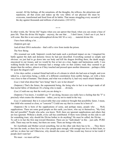second. All the feelings, all the sensations, all the thoughts, the reflexes, the attractions and repulsions, all that exists and makes up the very fabric of our physical life must be overcome, transformed and freed from all its habits. That means struggling every second of the day against thousands and millions of adversaries. (10/14/53)

\* \* \*

In other words, the "divine life" begins when you can uproot that fraud, when you can create a base of pure life. Then the divine life begins – anyway, the one that . . . I don't know, I don't see it yet, but it will come. But this is not some philosophical divine life! It's a very . . . material divine life.

I have been talking a lot. . . .

(Satprem gets up)

And all their DNA molecules – that's still a view from inside the prison.

The New Being

(We resumed our walk. Satprem's words had made such a profound impact on me. I imagined his battle against the dark and demonic forces he had just described. Everything seemed so simple and obvious: we just had to go down into our body and kill the dragon dwelling there, the death snugly ensconced in our tissues, and we would be free at last on a true, happy and harmonious earth. I was walking beside him and our footsteps had a strange echo on that country road; they seemed to go deeper than the surface, almost as if they touched and pressed upon another dimension – perhaps a little bit upon the dragon's tail?

A few days earlier, a mutual friend had told us of a dream in which she had seen at length, and even talked to, a marvelous being, a child, of a different constitution from earthly beings, yet with a form very close to that of humans. That dream, and what was evoked by it, had very much struck Satprem.)

(Luc:) And what about that "new being" that S. saw in her dream?

(Satprem:) That's the future, the supramental being, the being who in fact is no longer made of all that mortal fabric of falsehood. It's a being who is made . . . divinely.

(Luc:) Could one say that the work you are doing is  $-$ 

(Satprem:) You know, I wouldn't say "I" am doing, because you really have a feeling that the "I" is precisely what creates the obstruction – rather, you try not to stand in the way.

(Luc:) I understand. But is it conceivable that your endeavor brought that possibility faster, I mean, that child who seemed so close, so "concrete"? Could one say that in a sense he is born of –

(Satprem:) He is born of the supplications of some, and perhaps many, people who . . . Well, supplications. There are some good people on this earth, you know, who say to themselves, "My God, this isn't possible!" People who ache, you know. Well, there are ignorant supplications and others that are less ignorant. Without a doubt, every call has contributed. If there were nobody on this side to call for something truer, why should the Divine bother to do anything? He must be called, the Divine. . . . To call is in fact the first step toward liberation. There are no "individuals" in this – just calls. PURE calls. There may not be many, but there are some. There are beings who ache.

Sri Aurobindo and Mother sowed something, but on the other side there has to be . . . They threw her into the tomb, so there has to be a few people pure enough, with enough true love in their heart, to call her, to draw her out! Otherwise, why should she come out? She would stay forever in her tomb if people don't want her!

We must – we must call her.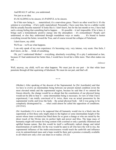And REALLY call her, you understand.

Not just as an idea.

It's SCALDING to be sincere; it's PAINFUL to be sincere.

So if this new being is . . . materialized, it's a marvelous grace. There's no other word for it. It's the solution to everything – if he's really materialized. Personally, I have seen him, but in a subtler world. Did he actually become material? It looks like it. I don't know, but for the last month or two, I have had such a strong feeling that something had to happen. . . . It's possible – it isn't impossible. If he is here, it brings such a tremendously positive energy into the atmosphere – it's extraordinary! People can't understand, or else they understand through roundabout ways or masks. . . . It's bound to hasten everything toward the better, toward the True, and of course toward the collapse of Falsehood.

I don't know, my child.

We'll see – we'll see what happens.

I can only speak of my own experience: it's becoming very, very intense, very acute. One feels, I don't know, on the . . . brink of something.

Oh, yes! I understand Mother! – everything, absolutely everything. It's a pity I understand so late, because if I had understood her better then, I would have loved her a little more. That often makes me sad. . . .

*(silence)*

Well, anyway, my child, we'll see what happens. We must just do our part – let that white laser penetrate through all that squirming of falsehood. We must do our part, and that's all.

\* \* \*

(Mother:) After speaking of the descent of the Supramental, he [Sri Aurobindo] said that we have to evolve an intermediate being between our present mental condition (even the most elevated mind) and the supramental region, because he said that if we entered the Gnosis directly, the change would be so abrupt that the constitution of our physical being would not be able to bear it – some intermediate being is necessary. In view of what I have experienced, I am totally convinced of it: twice, there was an actual possession by the supramental world, and twice the body – the actual physical body – felt it was going to be completely disintegrated by . . . what could almost be called the opposition of conditions.  $(10/15/61)$ 

(Sri Aurobindo:) It is not to be supposed that all humanity would rise in a block into the supermind; at first those only might attain to the highest or some intermediate height of the ascent whose inner evolution has fitted them for so great a change or who are raised by the direct touch of the Divine into its perfect light and power and bliss. The large mass of humanity might still remain for long content with a normal or only a partially illumined and uplifted human nature. But this would be itself a sufficiently radical change and initial transformation of earth-life; for the way would be open to all who have the will to rise, the supramental influence of the truth-consciousness would touch the earth-life and influence even its untransformed mass and a hope would be there and a promise eventually available to all which now only a few can share in or realise. (16:22)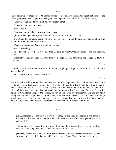\* \* \*

(Once again we sat under a tree. All human sounds seemed to have ceased. And again that same feeling of compact power near Satprem, at once gentle and imperative, which seizes you from within.)

(Satprem laughing:) They'll think he's an extraterrestrial!

(It took me a moment to come

back to reality  $\ldots$ )

(Luc:) Ah, yes, that he came down from Venus!

(Satprem:) Oh, you know, their stupidity knows no limit! It knows no limit.

But I think that particular being will have . . . "powers" – but not the ones they think. Not the ones they think. He will burst the BUBBLE.

It's no use speculating. We know nothing – nothing.

We know nothing.

The description [of the new being] that S. gave is ABSOLUTELY exact – and it's perfectly material.

Personally, I very much felt that something would happen – that something had to happen. That's all I can say.

*(silence)*

Well, if he is here in matter, maybe his "radar" (laughing) will guide him to us, and he will come and say hello?

I did see something, but not in that form.

*(silence)*

We are stuck inside a mortal fishbowl. We are like fish, hopelessly fish, and anything beyond the fishbowl is death-death-death-death – it's asphyxiation. Evidently, a few beings have tried to say, to show – to prove – that in fact one is not "asphyxiated"; one merely moves into another air, into a true life. And the whole "transition" is to try to poke one's nose outside of this human fishbowl. So if a first being quietly glides and slips to the surface, can you imagine what an extraordinary help that can be? A being who would be "supramental." If he is here, if he manifests himself . . . it will cause many things to collapse, it will help many things to collapse, many barriers. But, nonetheless, a few beings had to – have to – try to poke their nose to the surface, into the other air – which is NOT mortal.

\* \* \*

(Sri Aurobindo:) . . . Not only is death a seeming, but life itself is a seeming, and beyond life and death there lies a condition which is truer and therefore more permanent than either. (12:1)

That is the true existence, the Life from which our life proceeds; that is the immortality, while what we cling to as life is "hunger that is death." (12:204)

(Mother:) There's still a colossal work for everything to be transformed. But when you are on what could be called "the other side" (there are no "sides," but . . .), in the other state, it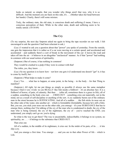looks so natural, so simple, that you wonder why things aren't that way, why it is so difficult. And the moment you are back on this side, it's . . . (Mother takes her head between her hands). Clearly, there's still some mixture.

Truly, the ordinary state, the old state, is conscious death and suffering (I mean, I have a conscious perception of that). While in the other state, death and suffering seem to be totally unreal. (10/18/69)

## **The Cry**

(To my surprise, the next day Satprem asked me again to bring the tape recorder on our walk. I felt encouraged to ask the question I had been reluctant to ask.)

(Luc:) I wanted to ask you a question about that "power" you spoke of yesterday. From the outside, one gets the impression that it is rather as if a car were moving at a certain speed, and accelerated and accelerated – and suddenly there's a sort of break in the movement of the car: it leaves the road and takes off into the air – it behaves in an altogether "unclassical" manner. As if that "power" had nothing in common with our usual notion of spirituality.

(Satprem:) But of course, it has nothing in common!

They would be crushed to a pulp if they were in contact with that!

The rishis, yes, they knew. . . .

(Luc:) So my question is to know how – not how one gets it (I understand one doesn't "get" it; it has to come by itself), but –

(Satprem:) What helps to make it come?

(Luc:) Yes . . . what has to happen, at some point, in the being – in the body – for that Thing to manifest?

(Satprem:) All right, let me put things as simply as possible (I always use the same metaphor because I find it very vivid): we are REALLY like fish inside a fishbowl – it's an absolute fact. It is a fishbowl of horror, of pain, of calamity. But then . . . (after all, sometimes there is a grace in life), all of a sudden, something in the body cries out . . . CRIES OUT – something cries out materially, not in the mind, not as a result of self-discipline or anything of the sort. A cry suddenly bursts out of the ordinary man in the street because he is SUFFOCATING. And all of a sudden . . . the fish sticks its nose out on the other side of the water, into another air – which is formidable (formidable, because he's still a fish). But, you see, you stick your nose out on the other side, you emerge – it's your SUBSTANCE that has to emerge there, nothing else! I'm talking of the cry of the man who is condemned to death, the cry of the man who is being tortured, the cry of the nightmare, the cry of  $-$  you've reached the END, you understand; you simply can't go on: you're dying.

So what is the way to get there? The way is uncatchable, indescribable; it belongs to no system, no spirituality, no . . . – it belongs to the substance that CRIES OUT.

That cries out.

All of a sudden, in the middle of its nightmare, it cries out. In the midst of its pain, of its . . . it lets slip a cry.

And you emerge a first time. You emerge . . . and you are in that other Power of life – which is Life.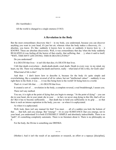\* \* \*

(Sri Aurobindo:)

All the world is changed to a single oneness (5:563)

#### **A Revolution in the Body**

But the most extraordinary discovery that  $I - in$  my body, you understand, because you can discover anything you want in your head, it's just hot air; whereas when the body makes a discovery, it's . . . absolute, you know. It's like: suddenly it knows how to swim, or suddenly it knows how to  $-$  it KNOWS. These are absolute discoveries. Well, it was extraordinary that day when the body suddenly REALIZED (it was feeling all the horror of that cruelty, that suffering, that . . .), when it said to itself, "WHY, THIS ISN'T LIFE DYING; THIS IS DEATH LIVING!"

Do you understand?

It is DEATH that lives – it isn't life that dies; it's DEATH that lives.

I felt that death everywhere – death-death-death; cruel death. Death in every way: in my mind, my heart, my life. There was nothing but death and horror, really – what kind of life is this, for God's sake!

What kind of life is this?

And then – I don't know how to describe it, because for the body it's quite simple and overwhelming, like a complete reversal of all its values, but not "intellectual values" – suddenly it was right there in the flesh; it was . . . it was like being born to the world! Or being born to a world.

That's it: it isn't life that . . . ; it's DEATH that lives.

It created a sort of . . . revolution in the body, a complete reversal, a real breakthrough, I assure you.

There isn't any method.

You see, it is right at the point of dying that you begin to emerge. "At the point of dying" – you can die in your heart, die in your mind, die in your . . . in fact, we never stop dying in this life; that's all we do! But it has to become sufficiently . . . that death has to hold you sufficiently in its grip . . . so that there is such an intense aspiration in the body, you see – as when it is asphyxiated.

As when it is asphyxiated.

Well, look, there isn't any manual for that! You must . . . all of a sudden you kick the bottom of that . . . that hell, and you emerge. But "emerge" – it's in your SUBSTANCE that you emerge, not in your head, you understand! It is both EXTREMELY SIMPLE and absolutely indescribable. There is no "path"; it's something completely automatic. There is no literature about it. There is no philosophy on it.

For the body, the Divine is something one DRINKS.

#### \* \* \*

(Mother:) And it isn't the result of an aspiration or research, an effort or a tapasya [discipline],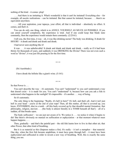nothing of the kind – it comes: plop!

. . . And there is no imitating it. What's wonderful is that it can't be imitated! Everything else – for example, all ascetic realizations – can be imitated. But that cannot be imitated, because . . . there's no equivalent anywhere.

. . . All your aspiration, your tapasya, your effort, all that is individual – absolutely no effect. It comes, and that's it.

You can do only one thing, which is to ANNUL YOURSELF AS MUCH AS POSSIBLE. If you can annul yourself completely, the experience is total. And if one could keep that blank state constantly, then the experience would remain there constantly. (2/25/61)

I tell you, the first time, it was – oh, it was like drinking nectar! The body was drinking. It drank for HOURS – it drank and drank and drank and drank.

I had never seen anything like it!

It was . . . it was unbelievable! It drank and drank and drank and drank – really as if it had been thirsty for thousands of years, and suddenly it was DRINKING the Divine! There was not even such a word as "divine"; it was just life pouring in for the first time.

\* \* \*

(Sri Aurobindo:)

I have drunk the Infinite like a giant's wine. (5:161)

\* \* \*

So that Power is . . .

You can't describe the way – it's automatic. You can't "understand" it; you can't understand a way that doesn't exist – it is made for you. You can't "understand" it, because how can you ask a fish to understand what happens in the sunlight? It's impossible – it's another . . . way of being.

So it's automatic.

The only thing is the beginning: "Really, it's hell in here!" It's hell, and that's all. And it isn't just hell in your head – you're at the end of your rope! Then, all this matter, all that is covered up, you know, ENTOMBED, shut in a tomb – all this body covered up by that dreadful mental formation: that philosophy, religion, atavism . . . (the body is almost literally in a TOMB beneath all that!) – all of a sudden, all that breaks open.

The body suffocates! – we are just not aware of it. We notice it . . . we notice it when it begins to die! But there's obviously no manual on suffocation or asphyxiation – at that moment whatever must happen happens. . . .

Then, gradually – and that's the painful part – the old fish learns how to live in that other air, that other Power, that other kind of breathing.

But it is as material as this (Satprem makes a fist). It's really – it isn't a metaphor – that material. One day, when the first fish became amphibian, it must have gone through hell – it must have been asphyxiated and suffocated in order to invent a new way of breathing. Well, this is exactly the same thing, you see.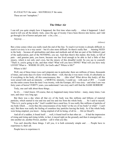It's EXACTLY the same – MATERIALLY the same.

These are not "metaphors."

#### **The Other Air**

I can tell you quite simply how it happened, the first time when really . . . when it happened. I don't need to tell you all the details: truly, since the age of twenty I have been thrown into horror, and I did go through a lot of horror and pain and – a lot, a lot. . . .

Anyway . . .

*(silence)*

But a time comes when you really reach the end of the line. To reach it at twenty is already difficult; to reach it at sixty is in a way easier – but it's also more difficult. So there's really that . . . burning NEED in the body – because all spiritualities and ideas and methods and all that are part of the fishbowl, part of the asphyxiation, part of the NOTHING, you see. And then there's this matter, this body, so full of pain – and genuine pain, you know, because one has lived enough to be able to feel a little of that misery, which is not only one's own, but the misery of this dreadful world. So you say to yourself, "That's it, you're going to die, and then what? What will you have DONE? What will you have truly LIVED? What is – WHERE IS LIFE, for God's sake?! Where is life?"

Where is life?

Well, one of these times (you can't pinpoint one in particular; there are millions of times, thousands of times, and some days it's more vivid than others – well, that day it was more vivid), it's absolutely as if everything in the body, all this consciousness, this . . . (this what? What drives this body), all this were seized with such an intensity – a MORTAL intensity, I could say – with such a CRY . . . I could see the entire course from the time I was twenty, with the Gestapo, till I was sixty – and what I saw was forty years of horror! FORTY years, you understand: I am sixty and I still find the SAME HORROR!

Truly, one can't talk about those things. . . .

So it's . . . I don't know. Of course, that cry happened many times before – many, many times, I am sure, and since very long ago.

But there was a day when all that cry of the body was like millions and billions of material particles, which started to rise and rise and rise and rise from the whole body. . . . So I said to myself, "This is it, you're going to die." And I couldn't have cared less. It was really like millions of particles of my body which . . . (were they the consciousness of my body? or the cry of my body? or what? – I can't say). But there was really the feeling of countless tiny particles leaving the body. As if the whole body were being emptied, you know – being emptied of all its being, of all its . . . life (or blood?).

And all of a sudden, it found itself . . . well, it found itself in that other air. . . . It had the impression of rising and rising and rising (while, in fact, it stayed right on the ground), and then it emerged into . . . into another air, another Power, another – call it what you like.

You can't describe these things. I tell you, it is both extremely simple and . . . People have to experience it, that's all.

People have to experience it.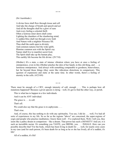(Sri Aurobindo:)

A divine force shall flow through tissue and cell And take the charge of breath and speech and act And all the thoughts shall be a glow of suns And every feeling a celestial thrill. Often a lustrous inner dawn shall come Lighting the chambers of the slumbering mind; A sudden bliss shall run through every limb And Nature with a mightier Presence fill. Thus shall the earth open to divinity And common natures feel the wide uplift, Illumine common acts with the Spirit's ray Nature shall live to manifest secret God, The Spirit shall take up the human play, This earthly life become the life divine. (29:710)

(Mother:) It's a state, a state of intense vibration where you have at once a feeling of omnipotence, even in this (Mother pinches the skin of her hand), in this old thing, and . . . a luminous omnipotence. And always with something comparable to goodness, benevolence, but far beyond those things (they seem like ridiculous distortions in comparison). This (gesture of expansion) and static at the same time. In other words, there's a feeling of eternity in the cells. (4/23/69)

\* \* \*

There must be enough of a CRY, enough intensity of call, enough . . . This is perhaps how all mutations happened? Because a given species is dying – well, it's got to find the other way, or perish.

This is what has to happen in a few individuals.

And it can be ANY individual.

The grace is . . . to call.

That's all.

We could also say that the grace is to asphyxiate. . . .

That's true.

And, of course, this has nothing to do with any spirituality. You see, I did do . . . well, I've had all sorts of experiences in my life. So as far as the regions "above" are concerned, the super-regions of yogis and people who practice meditation, I know them well – I've explored them. Well, I tell you, they seem like a paltry dream in comparison – like a dream. That power has such a DENSITY! And yet, it is such an incredible nectar. It's something you TASTE, you DRINK, you . . . INHALE. How can you possibly describe that? For the body, which has been living in death for . . . well, for nearly sixty years in my case (and for each person, it's been death for as long as he or she has lived), all of a sudden, it's life!

All of a sudden, it's life!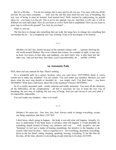But it's a life that . . . You do not emerge into it once and for all, you see. You carry with you all the old fish. So you must constantly . . . well, now the old fish must learn the new way of breathing, the new way of being. It must be learned. And learned how? Well, learned by asphyxiating, by painful labor, by – you learn it on the job. This is not in any manual, you see. And then, it will vary; it will be different for each individual. How do you learn to evolve from fish to amphibian? How do you learn to grow legs to walk on the ground? Yes, how do you learn? . . .

That's it, you see.

The fins have to change into something that can walk, the lungs have to change into something that can breathe the air – it's a completely new way of being. It has to be developed, to be learned. . . .

\* \* \*

(Mother:) It can't last, mostly because of the constant contact with . . . (gesture showing the old world around Mother). But even without that contact, for example at night, it may stay an hour, two hours, in that state, and suddenly, you don't know why, it slips back into the other way. And you hurt here, hurt there; you're uncomfortable, oh . . . terrible. (4/9/69)

### **An Automatic Path**

Well, there isn't any manual for that. There's nothing.

It's a wonderful path (in a sense), because, since you can't know ANYTHING about it, you're certain not to make any mistakes! You are certain. You can't make any mistakes. Because you can't know what the next step should or shouldn't be – you simply can't. You don't know – you know NOTHING! What does a fish know about life in the sunshine? It knows NOTHING.

So it's a totally automatic path – totally material and totally automatic. You meet all the obstacles, all the difficulties, all the complications – all that is necessary for you to learn the new way of breathing, the new way of walking, the new way of being. And you can't invent it; you can't plan it – it's impossible. Impossible.

You can't make any mistakes – there is no road!

\* \* \*

(Mother:) No more ties – free, free, free, free! Always ready to change everything, except one thing: aspiration, that thirst. (10/7/64)

I don't know what's going to happen – the body is not told what will happen. Actually, it's easy to understand: if the body knew in advance what will happen, it would probably do something stupid instead of being very attentive and very . . . well, receptive, not just "listening" (it isn't just a matter of hearing something), but attentive to the Impulse, to do exactly what must be done – what is expected of it – for everything, absolutely everything, down to the last detail: eating, sleeping, speaking, moving, everything. To be like that all the time, all the time: attentive to do nothing except what has to be done. (6/25/69)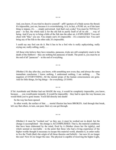\* \* \*

And, you know, if you tried to deceive yourself – pfft! (gesture of a blade across the throat) It's impossible, you see, because it is overwhelming. It is, in fact, a PURE air, so if the least thing is impure, it's . . . simply pulverized. And that's not a joke! You must be TOTALLY pure – in fact, the whole task is for the old fish to purify itself of all its old . . . way of being. And if you try to bring a little of the fish into the other air, it EXPLODES! You can't cheat with "that," you see. You simply can't; it's impossible – it's a material fact. You can't bring any of the fish to the other side; it's impossible.

I could say any fool can do it. But it has to be a fool who is really asphyxiating, really crying out, really calling, really . . .

All those who believe they have remedies, panaceas, tricks are still completely stuck in the death of the fishbowl – they are nothing but panaceas of death. The point is, you must be at the end of all "panaceas" – at the end of everything.

\* \* \*

(Mother:) It's day after day, you know, with something new every day; and always the same immediate conclusion: I know nothing, I understand nothing, I am nothing. . . . The negation of EVERYTHING. All the mental props of the human consciousness are gone. And for little things, for big things – for everything. (5/10/69)

\* \* \*

If Sri Aurobindo and Mother had not MADE the way, it would be completely impossible, you know, because . . . you would panic instantly. It would be impossible – they had to open the way because you would think you've gone insane. You'd fall directly into death!

So the way has been opened.

In other words, the surface of that . . . mortal illusion has been BROKEN. And through that break, let's say that others, in turn, can pass: their cry can get through.

\* \* \*

(Mother:) It must be "worked out," as they say; it must be worked out in detail, but the change is accomplished – the change is ACCOMPLISHED. That is, the material conditions that have been elaborated by the mind, fixed by it (Mother closes her fist tightly), and which seemed so inevitable – to the point that those who had a living experience of the higher worlds thought it necessary to escape this material world, abandon it, in order really to live the Truth (that's the origin of all those theories and beliefs) – but now it's no longer the case! Now it's no longer the case. The physical is capable of receiving the higher Light,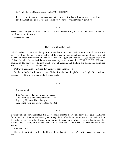the Truth, the true Consciousness, and of MANIFESTING it.

It isn't easy; it requires endurance and will-power, but a day will come when it will be totally natural. The door is just ajar – and now we have to walk through it. (3/14/70)

\* \* \*

That's the difficult part, but it's also a marvel – a lived marvel. But you can't talk about these things. It's like discovering life, you see!

It's truly like that.

## **The Delight in the Body**

I didn't realize. . . . Once, I had to go to F. to the dentist, and I felt really miserable, as if I were at the end of my life. I felt so . . . exhausted by all those people rushing and bustling about. And I did not realize how much of that other air I had already absorbed (you don't realize that you absorb a lot, a lot of that other air). I came back home – and suddenly what an incredible TORRENT OF LIFE came pouring in! The body, these billions of cells were all drinking and drinking and drinking and drinking as if . . . I can't say. It's . . . it's concrete!

It's truly a nectar. It's something that has never been experienced.

So, for the body, it's divine – it is the Divine. It's adorable, delightful; it's a delight. No words are necessary – but the body understands! It understands.

\* \* \*

(Sri Aurobindo:)

It is Thy rapture flaming through my nerves And all my cells and atoms thrill with Thee; My body Thy vessel is and only serves As a living wine-cup of Thy ecstasy. (5:135)

\* \* \*

You can't imagine how marvelous it is. . . . It's really as if this body – this body, these cells – had lived for thousand and thousands of years, gone through desert after desert after desert, and suddenly it finds the water of life – a water it never knew, an air it never knew, which is its first breath ever. It's unbelievable, I assure you. It's unbelievable! It isn't expressible – it's a fact. You can't compare it with anything.

And that is life!

That is life. A life that will . . . build everything, that will make Life! – which has never been, you see.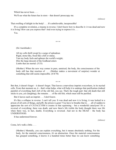Which has never been....

We'll see what the future has in store – that doesn't preoccupy me.

*(silence)*

That swelling of delight in the body! . . . It's unbelievable, inexpressible!

It's a complete revolution, a trauma in reverse. I don't know how to describe it: it was dead and now it is living! How can you express that? And even trying to express it is . . .

Yes.

\* \* \*

(Sri Aurobindo:)

All my cells thrill swept by a surge of splendour. Rigid, stone-like, fixed like a hill or statue, Vast my body feels and upbears the world's weight; Dire the large descent of the Godhead enters Limbs that are mortal. (5:53)

(Mother:) When the new way comes in pure, unmixed, the body, the consciousness of the body still has that reaction of . . . (Mother makes a movement of surprise) wonder at something that still seems impossible. (4/4/70)

\* \* \*

But that, it doesn't forget – it doesn't forget. That leaves a marvelous imprint everywhere, in its myriad cells. From that moment on, it – that's what helps, what will help it to undergo that purification (indeed painful) of everything that's left of the old fish, you see. That's the tough part: that old death that still sticks to you, yes (laughing), the remains . . . of the old fish, which must still be purified.

But it leaves such an imprint . . . I don't know.

It's like a collapse in reverse. I can't tell you: It was dead and now it is living; it was locked in a prison of all sorts of things, and pfft, the prison is gone! You have to breathe that to . . . all of sudden to appreciate the sort of CATACLYSM it creates in that squirming – but a wonderful cataclysm! It's a reversal of everything: there was death, and now there's life (while the body thought there was life when there was, in fact, death). Everything is reversed. And not in the HEAD – the body has UNDERSTOOD.

It has understood forever.

*(silence)*

Come, let's walk a little. . . .

(Mother:) Mentally, you can explain everything, but it means absolutely nothing. For the body, for the material consciousness, it's an abstraction. Once the material consciousness has grasped something, it knows it a hundred times better than we can know something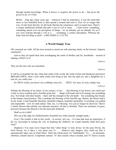through mental knowledge. When it knows, it acquires the power to do – that gives the power to do. (3/13/68)

Before – long ago, many years ago – whenever I had an experience, it was the mind that more or less benefited from it, then spread it around and used it. Now it's no longer that way: it's the body directly; it's the body that has the experience, and it is much truer. There's a certain intellectual attitude that puts a sort of veil or some . . . I don't know, something, something unreal over our perception of things – it's an attitude, just an attitude. It's as if you were looking through a veil or a . . . something, a certain atmosphere. Whereas the body feels the thing in itself – it BECOMES it. (7/25/70)

# **A World Simply True**

(We resumed our walk. All the trees around us stood out with amazing clarity on the horizon. Satprem continued:)

And so they all spend their time worshipping the tomb of Mother and Sri Aurobindo – instead of making a HOLE in it!

*(silence)*

They are the ones who are entombed.

*(silence)*

It will be so beautiful the day when that tomb of the world, the tomb of pain and falsehood and horror BREAKS OPEN, when a new earth comes into being at last, into the open air, into a delightful air, a true air, yes, really true. . . .

It's TRUE world, you know! (in a sobbing voice) It's . . . TRUE. For once, it's true, simply true.

*(silence)*

Perhaps the blessing of our times, of our century, of our . . . (the blessing of our horror, one could say) is that we have reached such a horrible point that . . . things will break and we'll emerge into something else. Not break with their bombs – that's still the triumph of the old death – but something that breaks in the human consciousness. This is perhaps the blessing of this horrible age. Before, the Horror had a lovely mask: it had beautiful literature, beautiful religion, beautiful spirituality. Everything was gilded and respectable – now it's stark naked. That, too, is a blessing. You can no longer be deceived. There's a whole illusion that nobody can entertain anymore; all that is finished. These are moments of grace, precisely because the illusion is for the most part shattered.

Shall we sit a little?

(We sat at the edge of a field,beneath a beautiful tree witha smooth, straight trunk.)

(Luc:) The trouble is that in this world – in society, let's say – if a man had such an experience, if his cry succeeded in tearing the veil, in breaking the fishbowl, he would instantly think he'd gone crazy!

(Satprem:) You must never forget that that "other thing" is truly divine: it's the pure Divine, the lived Divine. So it takes a very great care of . . . whatever may happen. One could say that it automatically takes care of what's there. That's the whole point: it's "unthinkable," it's . . . an automatic, effortless, natural marvel. Completely natural: "it" does exactly what is needed, and "it" knows exactly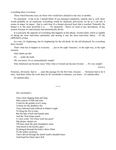everything there is to know.

Those who'd become crazy are those who would have cheated in one way or another.

It's measured – it has to be, I should think! If you emerged completely, entirely into it, well, there would probably be an explosion; everything would be shattered, pulverized. As far as I can tell, it comes in stages. In stages – that is, each time it's a deeper physical layer that is touched. Naturally, the deeper it is, the more powerful it is. . . . It's measured – there's no need of any description, of any system, because it's marvelously and automatically divine.

It is precisely the opposite of everything that happens in this phony, twisted mind, which is capable of taking the most marvelous spirituality and turning it into the most marvelous fakery – it's the OPPOSITE of that.

In a way, it's frightening, but it's frightening for the old death, for the old falsehood, for everything that's twisted.

That's what has to happen to everyone . . . just in the right "measure," in the right way, at the right moment.

Only death can die!

It's . . . really the truth.

Oh, you know, it's so extraordinarily simple!

Only falsehood can become crazy! Only what is twisted can become twisted. . . . It's very simple!

*(silence)*

Someone, obviously, had to . . . open the passage for the first time, because . . . Someone had to do it once. And that's where the work done by Sri Aurobindo is fantastic, you know – it's unbelievable.

It's unbelievable. . . .

\* \* \*

(Sri Aurobindo:)

I have been digging deep and long Mid a horror of filth and mire A bed for the golden river's song, A home for the deathless fire. I have laboured and suffered in Matter's night To bring the fire to man; But the hate of hell and human spite And the Titan kings assail, . . . A voice cried, "Go where none has gone! Dig deeper, deeper yet Till thou reach the grim foundation stone And knock at the keyless gate." . . . [I] plunged through the body's alleys blind To the nether mysteries I have delved through the dumb Earth's dreadful heart And heard her black mass' bell.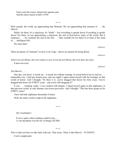I have seen the source whence her agonies part And the inner reason of hell. (5:99)

\* \* \*

Well, people, the world, are approaching that Moment. We are approaching that moment of . . . the Marvel.

While, for them, it's a cataclysm, it's "death" – but everything is upside down! Everything is upside down! For them, we are approaching a cataclysm, the end of God knows what, of the world. But it continues. . . . It's certainly the end of the fish . . . (that wouldn't be too bad!) or at least of this kind of . . . intelligent fish.

We must dare!

*(silence)*

There are plenty of "manuals" on how to do Yoga – there's no manual for being thirsty.

*(silence)*

And if you are thirsty, the river comes to you; if you are not thirsty, the river does not exist.

It does not exist.

*(silence)*

The Marvel. . . .

One day, you know, it struck me – it struck me without warning. It seized hold of me in such an  $\dots$ unbearable way. I had just turned sixty, and one night! I again found myself with the Gestapo, in that world of horror. And I thought, "So there it is: you've dragged that horror for forty years. You've dragged that horror for FORTY years – and you're still dragging it!"

It was . . . crushing, really. I was crushed with despair. I found myself again in that nightmare, in that perverse world, as only humans can invent perversity. And I thought, "This has been going on for FORTY years!"

I have had that nightmare thousands of times.

Well, the entire world is right in the nightmare.

\* \* \*

(Sri Aurobindo:)

It was a space where nothing could be true, . . . A vast deception was the law of things (28:206)

\* \* \*

This is what you have to take back with you: That exists. There is that Marvel – IT EXISTS.

It isn't complicated.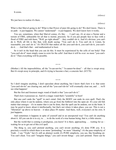It exists.

We just have to realize it's there....

*(silence)*

*(silence)*

What is that Marvel going to do? What is that Power of pure life going to do? We don't know. There is no path – it just happens. We cannot "understand" – it just happens. We don't know how it works.

You see, sometimes, when that Marvel comes, it's like . . . I can't say, it's at once a Nectar and a torrent of FIRE, unbearable for all that is mortal, precisely. So if you put people face to face with a flood of FIRE and told them, "Well, go right ahead!" – they couldn't do it. And it's obvious: you can't do it. Well, all life is like that, with death saying: "You can't do it. You can't do it. Listen, be reasonable; you can't do it." It's DEATH that makes all the you-can't-do-it, you-can't-do-it, you-can'tdo-it. . . . And that's that – and mathematical to boot.

So it isn't in the head that you can do this. It must be experienced by the cells of our body! That "you-can't-do-it" must simply cease to exist for the cells! And then it will be over: no more "you-can'tdo-it." Then everything will be possible.

\* \* \*

(Mother:) All the impossibilities, all the "it-can-not-be," "it-cannot-be-done" – all that is swept away. But it's swept away in principle, and it's trying to become a fact, a concrete fact. (8/5/70)

\* \* \*

So I don't imagine anything, I don't speculate about anything, but I know that's how it is: that some "you-can't-do-its" are clearing out, and all the "you-can't-do-its" will eventually clear out, and . . . we'll see what happens!

But the first and foremost magic wand of death is that "you-can't-do-it."

That's how it possesses us. And it's a magic wand that's "scientific" to boot!

But one can't undo the "spell" in one's mind. Only the BODY can undo its own spell. That's the only place where it can be undone, where you go from the fishbowl into the open air. It's your old fish matter that emerges – it's in matter that it can be done, that the spell can be undone, not in the brain. It may be good to know about it intellectually, but that's not where it takes place, you see. This is not a "liberation" up above in heaven – it takes place IN matter. And there, well, everyone's on his own. It just happens.

And sometimes it happens in spite of yourself and in an unexpected way! You can't do anything about it. All you can do is to cry, to . . . to do the work of a true human being, that is, a little sincere.

But the world that is coming is prodigious, you know! It is there, approaching ... waiting for us – waiting for us to get out of this evil spell.

The thing is, you can't pretend anything, you can't invent anything; it's done FOR you. It is precisely a world in which there is no more "pretending," no more "cheating": it's the pure simplicity of Truth – I say "Truth," but it's still an abstract world; it's PURE simplicity, you see, like breathing air. You can't cheat. You can't "imagine things," you can't invent things – you can't pretend. There can be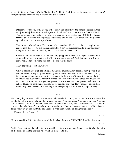no counterfeiter, no fraud – it's the "Truth." It's PURE air. And if you try to cheat, you die instantly! Everything that's corrupted and mortal in you dies instantly.

\* \* \*

(Mother:) "What You will, as You will." Truly, you must have the concrete sensation that this [the body] does not exist – it's just as if "utilized" – and that there is ONLY THAT. That conscious immensity . . . (Mother opens her arms wide), that IMMENSE Force, IMMENSE Vibration, which presses and presses and presses . . . and then the Thing opens up, and when it opens, that spreads out.

This is the only solution. There's no other solution. All the rest is . . . aspirations, conceptions, hopes – it's still the superman, but it isn't the supramental. It's higher humanity trying to lift its humanity upward, but . . . it's useless. It doesn't work.

I have such a vivid image of all that humanity grappling to raise itself, trying to catch hold of something, but it doesn't give itself – it just wants to take! And that won't do. It must annul itself. Then something else can come and take its place.

That's the whole secret. (12/13/69)

What is absurd here is all the artificial means one must use. Any fool has more power if he has the means of acquiring the necessary contrivance. Whereas in the supramental world, the more conscious you are and in harmony with the truth of things, the more authority willpower has over matter. Authority is true authority. If you want clothes, you must have the power to make them, a genuine power. If you don't have that power, well, you go naked. There's no contrivance to make up for the lack of power. Here, not once in a million is authority the expression of something true. Everything is extraordinarily stupid. (2/58)

Well, it's going to be – it will be – an absolutely wonderful world, you know! Not in the sense that people think, but wonderfully simple – divinely simple! No more tricks. No more gimmicks. No more "Great Powers" – all those people loaded with "Powers": the superyogis, superpresidents. . . . No more powers – the only "power" is simply to breathe and to be. No more "powers," you see – all that is over. These "powers" are just the tricks of Falsehood: "Me, I am capable of doing this and that!"

\* \* \*

It's death that is "capable."

*(silence)*

Oh, how good it will feel the day when all the frauds of the world CRUMBLE! It will feel so good!

*(silence)*

And in the meantime, they elect the next president – they always elect the next liar. Or else they pick up the phone to call the next liar who will help them . . . to die.

*(silence)*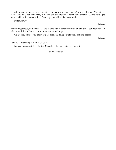I speak to you, brother, because you will be in that world. Not "another" world – this one. You will be there – you will. You are already in it. You still don't realize it completely, because . . . you have a job to do, and in order to do that job effectively, you still need to wear masks. . . .

It's temporary.

*(silence)*

Mother is gracious, you know. . . . She is gracious. It takes very little on our part – our poor part – it takes very little for Her to . . . rush to the rescue and help.

We are very obtuse, you know. We are precisely doing our old work of being obtuse.

*(silence)*

I think . . . everything is VERY CLOSE.

We have been created . . . for that Marvel . . . for that Delight . . . on earth.

(*to be continued . . .*)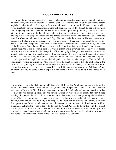### **BIOGRAPHICAL NOTES**

Sri Aurobindo was born on August 15, 1872, in Calcutta, India. At the tender age of seven, his father, a country doctor, sent him to England for "serious studies," as was the custom of the day among certain anglicized Indian families. For 13 years Sri Aurobindo would be immersed in Western culture – which would eventually reward his academic prowess with abundant laurels. In 1893, at the age of twenty, his Cambridge degree in his pocket, he returned to India to find a profoundly revolting political and social situation in his country (under British rule). After a few years spent between a teaching post of French and English at the College of Baroda and the private secretariat of the local maharaja, Sri Aurobindo moved to Calcutta and entered the political fray. Simultaneously, he set out on his inner quest not to escape into higher worlds of consciousness, but as a means of sharpening his revolutionary action against the British occupation. As editor of the daily Bande Mataram (Hail to Mother India) and leader of the Extremist Party, he would soon be suspected of participating in a criminal attempt against a British magistrate, and he would spend a year in prison while awaiting trial. That year of forced isolation made him realize that the occupation of his country by a foreign power was but one aspect of a much vaster problem: the transformation of human nature. "It is not just a revolt against the British empire that we must wage, but a revolt against the whole universal Nature!" he exclaimed. Acquitted but still pursued and spied on by the British police, he had to take refuge in French India, in Pondicherry, where he arrived in 1910. This is where he spent the rest of his life until 1950, in the "ashram" that gradually formed around him under the supervision of Mother, who joined him in 1920. His written work, mostly composed between 1914 and 1920, comprises poetry, plays, "philosophy" and an enormous body of letters to try to explain to his disciples what he was doing in the silence of his room.

\* \* \*

It was while visiting Pondicherry in 1914 that MOTHER met Sri Aurobindo for the first time. She would come back and settle beside him in 1920, after a stay in Japan and a short visit to China. Mother was born in Paris in 1878 as Mirra Alfassa. As a young girl she already had strange experiences that took her into the past and perhaps into the future; she met Sri Aurobindo "in dream" ten years before meeting him physically in Pondicherry. Gifted in mathematics, music and painting, she befriended many of the great Impressionist painters of the time – Gustav Moreau, Rodin, Monet – and married a painter, whom she divorced to marry a philosopher, who took her on a trip to Pondicherry. She lived thirty years beside Sri Aurobindo, assuming the direction of his ashram and, after his departure in 1950, plunging herself into the "yoga of the cells" to open the "Great Passage" to the next species. For almost twenty years, from 1954 to 1973, she confided her intimate experiences and the unfolding of the physical process of transformation to Satprem, who alone was willing materially to believe in what she was doing. These conversations constitute Mother's Agenda in 13 volumes.